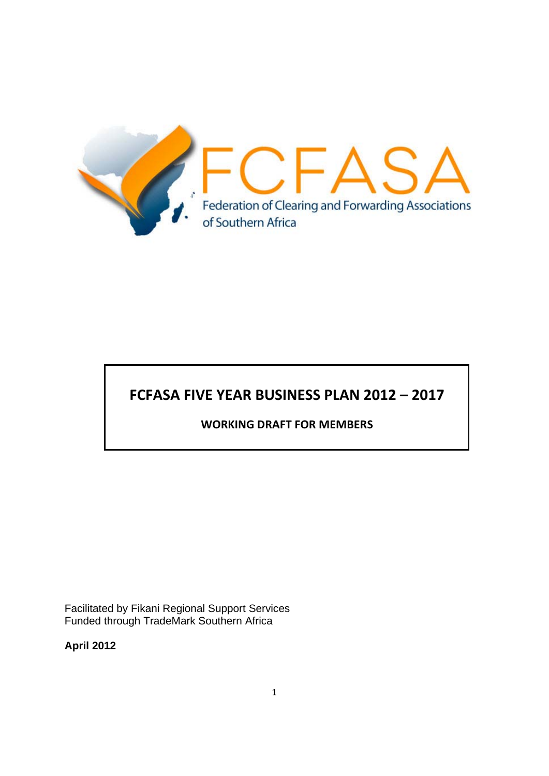

# **FCFASA FIVE YEAR BUSINESS PLAN 2012 – 2017**

### **WORKING DRAFT FOR MEMBERS**

Facilitated by Fikani Regional Support Services Funded through TradeMark Southern Africa

**April 2012**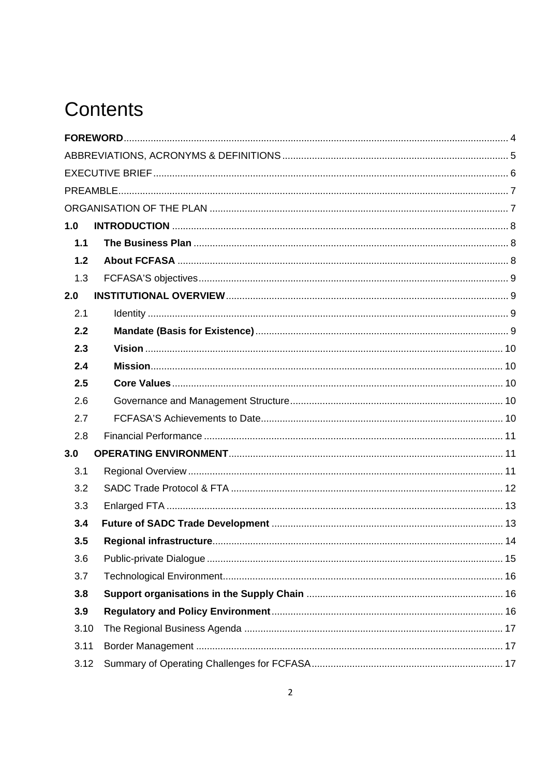# Contents

| 1.0  |  |
|------|--|
| 1.1  |  |
| 1.2  |  |
| 1.3  |  |
| 2.0  |  |
| 2.1  |  |
| 2.2  |  |
| 2.3  |  |
| 2.4  |  |
| 2.5  |  |
| 2.6  |  |
| 2.7  |  |
| 2.8  |  |
| 3.0  |  |
| 3.1  |  |
| 3.2  |  |
| 3.3  |  |
| 3.4  |  |
| 3.5  |  |
| 3.6  |  |
| 3.7  |  |
| 3.8  |  |
| 3.9  |  |
| 3.10 |  |
| 3.11 |  |
| 3.12 |  |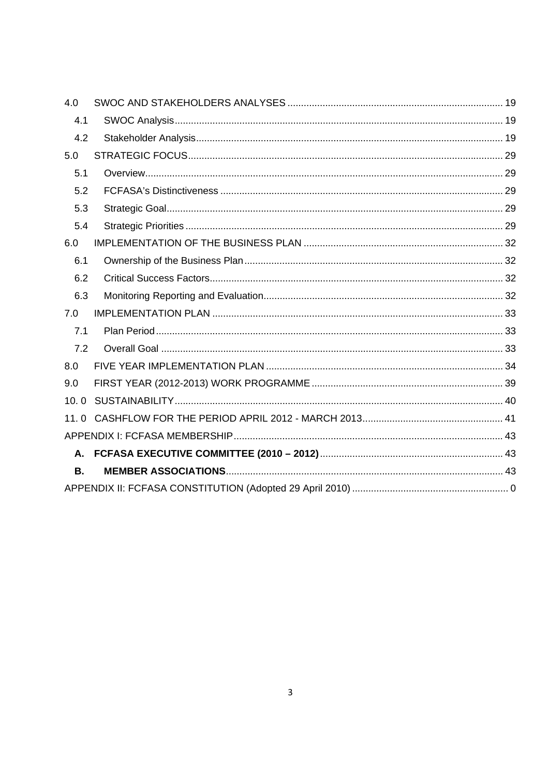| 4.0       |  |
|-----------|--|
| 4.1       |  |
| 4.2       |  |
| 5.0       |  |
| 5.1       |  |
| 5.2       |  |
| 5.3       |  |
| 5.4       |  |
| 6.0       |  |
| 6.1       |  |
| 6.2       |  |
| 6.3       |  |
| 7.0       |  |
| 7.1       |  |
| 7.2       |  |
| 8.0       |  |
| 9.0       |  |
| 10.0      |  |
| 11.0      |  |
|           |  |
| А.        |  |
| <b>B.</b> |  |
|           |  |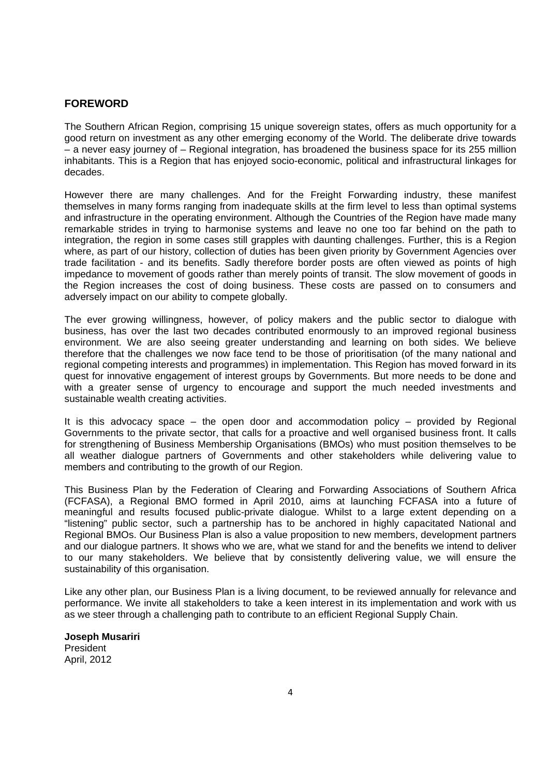#### **FOREWORD**

The Southern African Region, comprising 15 unique sovereign states, offers as much opportunity for a good return on investment as any other emerging economy of the World. The deliberate drive towards  $-$  a never easy journey of  $-$  Regional integration, has broadened the business space for its 255 million inhabitants. This is a Region that has enjoyed socio-economic, political and infrastructural linkages for decades.

However there are many challenges. And for the Freight Forwarding industry, these manifest themselves in many forms ranging from inadequate skills at the firm level to less than optimal systems and infrastructure in the operating environment. Although the Countries of the Region have made many remarkable strides in trying to harmonise systems and leave no one too far behind on the path to integration, the region in some cases still grapples with daunting challenges. Further, this is a Region where, as part of our history, collection of duties has been given priority by Government Agencies over trade facilitation - and its benefits. Sadly therefore border posts are often viewed as points of high impedance to movement of goods rather than merely points of transit. The slow movement of goods in the Region increases the cost of doing business. These costs are passed on to consumers and adversely impact on our ability to compete globally.

The ever growing willingness, however, of policy makers and the public sector to dialogue with business, has over the last two decades contributed enormously to an improved regional business environment. We are also seeing greater understanding and learning on both sides. We believe therefore that the challenges we now face tend to be those of prioritisation (of the many national and regional competing interests and programmes) in implementation. This Region has moved forward in its quest for innovative engagement of interest groups by Governments. But more needs to be done and with a greater sense of urgency to encourage and support the much needed investments and sustainable wealth creating activities.

It is this advocacy space – the open door and accommodation policy – provided by Regional Governments to the private sector, that calls for a proactive and well organised business front. It calls for strengthening of Business Membership Organisations (BMOs) who must position themselves to be all weather dialogue partners of Governments and other stakeholders while delivering value to members and contributing to the growth of our Region.

This Business Plan by the Federation of Clearing and Forwarding Associations of Southern Africa (FCFASA), a Regional BMO formed in April 2010, aims at launching FCFASA into a future of meaningful and results focused public-private dialogue. Whilst to a large extent depending on a "listening" public sector, such a partnership has to be anchored in highly capacitated National and Regional BMOs. Our Business Plan is also a value proposition to new members, development partners and our dialogue partners. It shows who we are, what we stand for and the benefits we intend to deliver to our many stakeholders. We believe that by consistently delivering value, we will ensure the sustainability of this organisation.

Like any other plan, our Business Plan is a living document, to be reviewed annually for relevance and performance. We invite all stakeholders to take a keen interest in its implementation and work with us as we steer through a challenging path to contribute to an efficient Regional Supply Chain.

**Joseph Musariri**  President April, 2012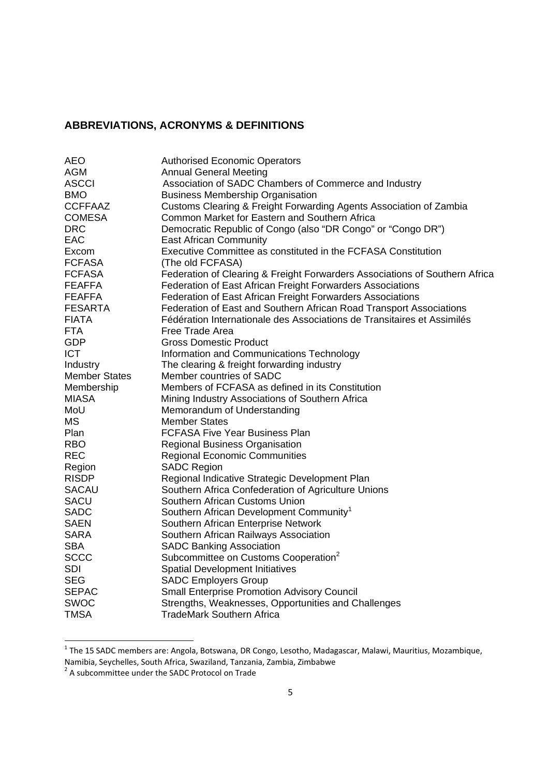### **ABBREVIATIONS, ACRONYMS & DEFINITIONS**

| AEO                  | <b>Authorised Economic Operators</b>                                        |
|----------------------|-----------------------------------------------------------------------------|
| AGM                  | <b>Annual General Meeting</b>                                               |
| <b>ASCCI</b>         | Association of SADC Chambers of Commerce and Industry                       |
| <b>BMO</b>           | <b>Business Membership Organisation</b>                                     |
| CCFFAAZ              | Customs Clearing & Freight Forwarding Agents Association of Zambia          |
| <b>COMESA</b>        | Common Market for Eastern and Southern Africa                               |
| <b>DRC</b>           | Democratic Republic of Congo (also "DR Congo" or "Congo DR")                |
| <b>EAC</b>           | <b>East African Community</b>                                               |
| Excom                | Executive Committee as constituted in the FCFASA Constitution               |
| <b>FCFASA</b>        | (The old FCFASA)                                                            |
| <b>FCFASA</b>        | Federation of Clearing & Freight Forwarders Associations of Southern Africa |
| <b>FEAFFA</b>        | Federation of East African Freight Forwarders Associations                  |
| <b>FEAFFA</b>        | Federation of East African Freight Forwarders Associations                  |
| <b>FESARTA</b>       | Federation of East and Southern African Road Transport Associations         |
| <b>FIATA</b>         | Fédération Internationale des Associations de Transitaires et Assimilés     |
| <b>FTA</b>           | Free Trade Area                                                             |
| <b>GDP</b>           | <b>Gross Domestic Product</b>                                               |
| <b>ICT</b>           | Information and Communications Technology                                   |
| Industry             | The clearing & freight forwarding industry                                  |
| <b>Member States</b> | Member countries of SADC                                                    |
| Membership           | Members of FCFASA as defined in its Constitution                            |
| <b>MIASA</b>         | Mining Industry Associations of Southern Africa                             |
| MoU                  | Memorandum of Understanding                                                 |
| <b>MS</b>            | <b>Member States</b>                                                        |
| Plan                 | <b>FCFASA Five Year Business Plan</b>                                       |
| <b>RBO</b>           | <b>Regional Business Organisation</b>                                       |
| <b>REC</b>           | <b>Regional Economic Communities</b>                                        |
| Region               | <b>SADC Region</b>                                                          |
| <b>RISDP</b>         | Regional Indicative Strategic Development Plan                              |
| <b>SACAU</b>         | Southern Africa Confederation of Agriculture Unions                         |
| SACU                 | Southern African Customs Union                                              |
| <b>SADC</b>          | Southern African Development Community <sup>1</sup>                         |
| <b>SAEN</b>          | Southern African Enterprise Network                                         |
| <b>SARA</b>          | Southern African Railways Association                                       |
| <b>SBA</b>           | <b>SADC Banking Association</b>                                             |
| <b>SCCC</b>          | Subcommittee on Customs Cooperation <sup>2</sup>                            |
| <b>SDI</b>           | <b>Spatial Development Initiatives</b>                                      |
| <b>SEG</b>           | <b>SADC Employers Group</b>                                                 |
| <b>SEPAC</b>         | <b>Small Enterprise Promotion Advisory Council</b>                          |
| <b>SWOC</b>          | Strengths, Weaknesses, Opportunities and Challenges                         |
| <b>TMSA</b>          | <b>TradeMark Southern Africa</b>                                            |
|                      |                                                                             |

 1 The 15 SADC members are: Angola, Botswana, DR Congo, Lesotho, Madagascar, Malawi, Mauritius, Mozambique,

Namibia, Seychelles, South Africa, Swaziland, Tanzania, Zambia, Zimbabwe<br><sup>2</sup> A subcommittee under the SADC Protocol on Trade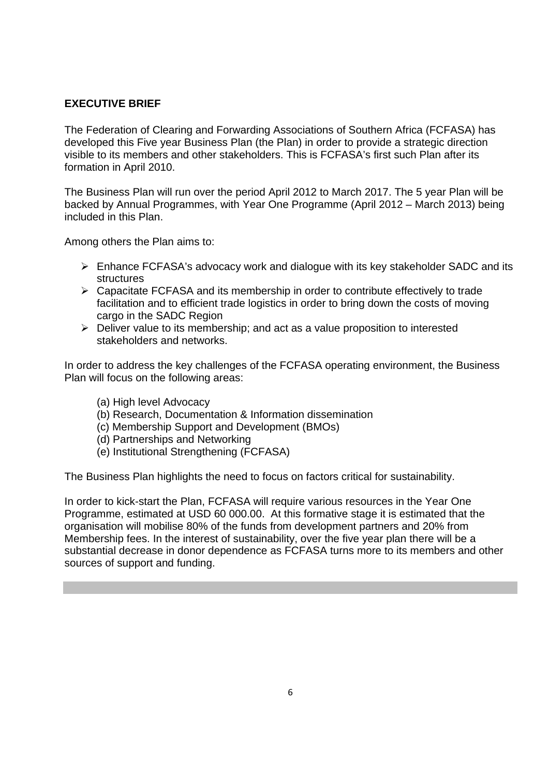### **EXECUTIVE BRIEF**

The Federation of Clearing and Forwarding Associations of Southern Africa (FCFASA) has developed this Five year Business Plan (the Plan) in order to provide a strategic direction visible to its members and other stakeholders. This is FCFASA's first such Plan after its formation in April 2010.

The Business Plan will run over the period April 2012 to March 2017. The 5 year Plan will be backed by Annual Programmes, with Year One Programme (April 2012 – March 2013) being included in this Plan.

Among others the Plan aims to:

- Enhance FCFASA's advocacy work and dialogue with its key stakeholder SADC and its structures
- $\triangleright$  Capacitate FCFASA and its membership in order to contribute effectively to trade facilitation and to efficient trade logistics in order to bring down the costs of moving cargo in the SADC Region
- $\triangleright$  Deliver value to its membership; and act as a value proposition to interested stakeholders and networks.

In order to address the key challenges of the FCFASA operating environment, the Business Plan will focus on the following areas:

- (a) High level Advocacy
- (b) Research, Documentation & Information dissemination
- (c) Membership Support and Development (BMOs)
- (d) Partnerships and Networking
- (e) Institutional Strengthening (FCFASA)

The Business Plan highlights the need to focus on factors critical for sustainability.

In order to kick-start the Plan, FCFASA will require various resources in the Year One Programme, estimated at USD 60 000.00. At this formative stage it is estimated that the organisation will mobilise 80% of the funds from development partners and 20% from Membership fees. In the interest of sustainability, over the five year plan there will be a substantial decrease in donor dependence as FCFASA turns more to its members and other sources of support and funding.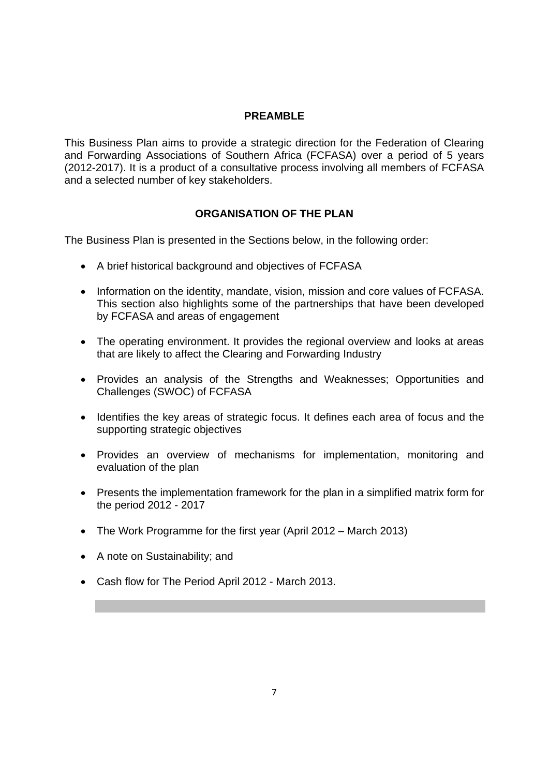### **PREAMBLE**

This Business Plan aims to provide a strategic direction for the Federation of Clearing and Forwarding Associations of Southern Africa (FCFASA) over a period of 5 years (2012-2017). It is a product of a consultative process involving all members of FCFASA and a selected number of key stakeholders.

### **ORGANISATION OF THE PLAN**

The Business Plan is presented in the Sections below, in the following order:

- A brief historical background and objectives of FCFASA
- Information on the identity, mandate, vision, mission and core values of FCFASA. This section also highlights some of the partnerships that have been developed by FCFASA and areas of engagement
- The operating environment. It provides the regional overview and looks at areas that are likely to affect the Clearing and Forwarding Industry
- Provides an analysis of the Strengths and Weaknesses; Opportunities and Challenges (SWOC) of FCFASA
- Identifies the key areas of strategic focus. It defines each area of focus and the supporting strategic objectives
- Provides an overview of mechanisms for implementation, monitoring and evaluation of the plan
- Presents the implementation framework for the plan in a simplified matrix form for the period 2012 - 2017
- The Work Programme for the first year (April 2012 March 2013)
- A note on Sustainability; and
- Cash flow for The Period April 2012 March 2013.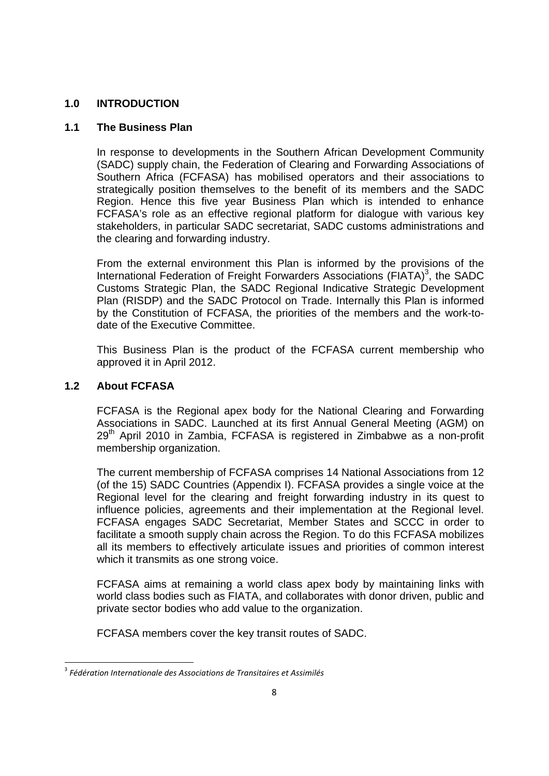### **1.0 INTRODUCTION**

### **1.1 The Business Plan**

In response to developments in the Southern African Development Community (SADC) supply chain, the Federation of Clearing and Forwarding Associations of Southern Africa (FCFASA) has mobilised operators and their associations to strategically position themselves to the benefit of its members and the SADC Region. Hence this five year Business Plan which is intended to enhance FCFASA's role as an effective regional platform for dialogue with various key stakeholders, in particular SADC secretariat, SADC customs administrations and the clearing and forwarding industry.

From the external environment this Plan is informed by the provisions of the International Federation of Freight Forwarders Associations (FIATA)<sup>3</sup>, the SADC Customs Strategic Plan, the SADC Regional Indicative Strategic Development Plan (RISDP) and the SADC Protocol on Trade. Internally this Plan is informed by the Constitution of FCFASA, the priorities of the members and the work-todate of the Executive Committee.

This Business Plan is the product of the FCFASA current membership who approved it in April 2012.

### **1.2 About FCFASA**

1

FCFASA is the Regional apex body for the National Clearing and Forwarding Associations in SADC. Launched at its first Annual General Meeting (AGM) on 29<sup>th</sup> April 2010 in Zambia, FCFASA is registered in Zimbabwe as a non-profit membership organization.

The current membership of FCFASA comprises 14 National Associations from 12 (of the 15) SADC Countries (Appendix I). FCFASA provides a single voice at the Regional level for the clearing and freight forwarding industry in its quest to influence policies, agreements and their implementation at the Regional level. FCFASA engages SADC Secretariat, Member States and SCCC in order to facilitate a smooth supply chain across the Region. To do this FCFASA mobilizes all its members to effectively articulate issues and priorities of common interest which it transmits as one strong voice.

FCFASA aims at remaining a world class apex body by maintaining links with world class bodies such as FIATA, and collaborates with donor driven, public and private sector bodies who add value to the organization.

FCFASA members cover the key transit routes of SADC.

<sup>3</sup> *Fédération Internationale des Associations de Transitaires et Assimilés*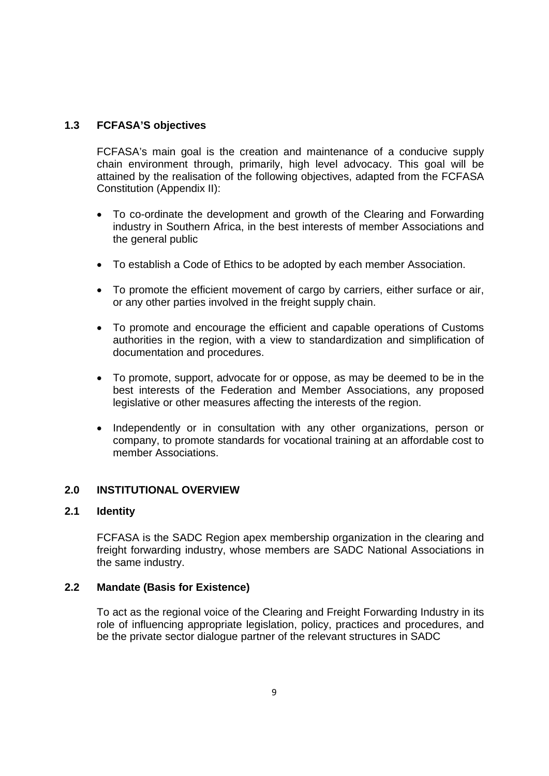### **1.3 FCFASA'S objectives**

FCFASA's main goal is the creation and maintenance of a conducive supply chain environment through, primarily, high level advocacy. This goal will be attained by the realisation of the following objectives, adapted from the FCFASA Constitution (Appendix II):

- To co-ordinate the development and growth of the Clearing and Forwarding industry in Southern Africa, in the best interests of member Associations and the general public
- To establish a Code of Ethics to be adopted by each member Association.
- To promote the efficient movement of cargo by carriers, either surface or air, or any other parties involved in the freight supply chain.
- To promote and encourage the efficient and capable operations of Customs authorities in the region, with a view to standardization and simplification of documentation and procedures.
- To promote, support, advocate for or oppose, as may be deemed to be in the best interests of the Federation and Member Associations, any proposed legislative or other measures affecting the interests of the region.
- Independently or in consultation with any other organizations, person or company, to promote standards for vocational training at an affordable cost to member Associations.

### **2.0 INSTITUTIONAL OVERVIEW**

### **2.1 Identity**

FCFASA is the SADC Region apex membership organization in the clearing and freight forwarding industry, whose members are SADC National Associations in the same industry.

### **2.2 Mandate (Basis for Existence)**

To act as the regional voice of the Clearing and Freight Forwarding Industry in its role of influencing appropriate legislation, policy, practices and procedures, and be the private sector dialogue partner of the relevant structures in SADC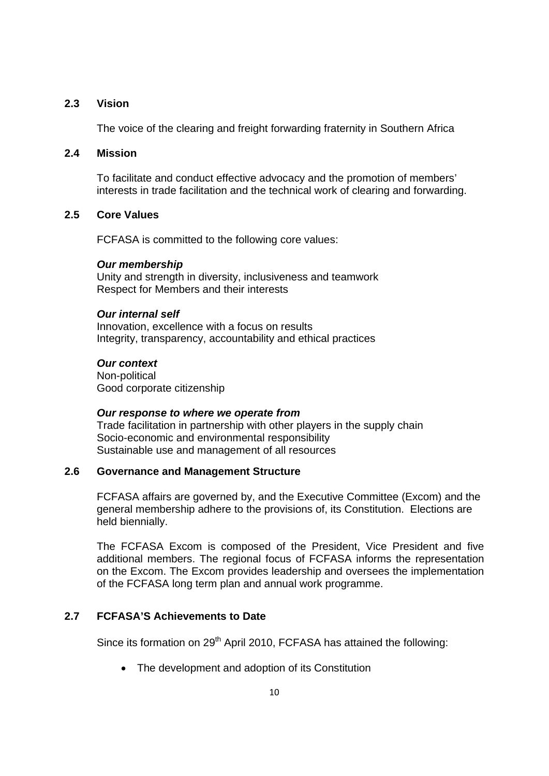### **2.3 Vision**

The voice of the clearing and freight forwarding fraternity in Southern Africa

#### **2.4 Mission**

To facilitate and conduct effective advocacy and the promotion of members' interests in trade facilitation and the technical work of clearing and forwarding.

#### **2.5 Core Values**

FCFASA is committed to the following core values:

#### *Our membership*

Unity and strength in diversity, inclusiveness and teamwork Respect for Members and their interests

#### *Our internal self*

Innovation, excellence with a focus on results Integrity, transparency, accountability and ethical practices

### *Our context*

Non-political Good corporate citizenship

#### *Our response to where we operate from*

Trade facilitation in partnership with other players in the supply chain Socio-economic and environmental responsibility Sustainable use and management of all resources

### **2.6 Governance and Management Structure**

FCFASA affairs are governed by, and the Executive Committee (Excom) and the general membership adhere to the provisions of, its Constitution. Elections are held biennially.

The FCFASA Excom is composed of the President, Vice President and five additional members. The regional focus of FCFASA informs the representation on the Excom. The Excom provides leadership and oversees the implementation of the FCFASA long term plan and annual work programme.

### **2.7 FCFASA'S Achievements to Date**

Since its formation on 29<sup>th</sup> April 2010, FCFASA has attained the following:

• The development and adoption of its Constitution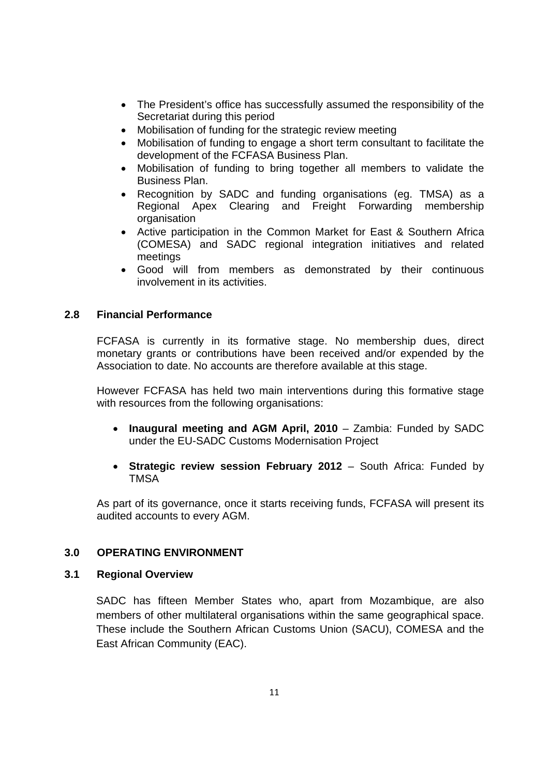- The President's office has successfully assumed the responsibility of the Secretariat during this period
- Mobilisation of funding for the strategic review meeting
- Mobilisation of funding to engage a short term consultant to facilitate the development of the FCFASA Business Plan.
- Mobilisation of funding to bring together all members to validate the Business Plan.
- Recognition by SADC and funding organisations (eg. TMSA) as a Regional Apex Clearing and Freight Forwarding membership organisation
- Active participation in the Common Market for East & Southern Africa (COMESA) and SADC regional integration initiatives and related meetings
- Good will from members as demonstrated by their continuous involvement in its activities.

### **2.8 Financial Performance**

FCFASA is currently in its formative stage. No membership dues, direct monetary grants or contributions have been received and/or expended by the Association to date. No accounts are therefore available at this stage.

However FCFASA has held two main interventions during this formative stage with resources from the following organisations:

- **Inaugural meeting and AGM April, 2010** Zambia: Funded by SADC under the EU-SADC Customs Modernisation Project
- **Strategic review session February 2012** South Africa: Funded by **TMSA**

As part of its governance, once it starts receiving funds, FCFASA will present its audited accounts to every AGM.

### **3.0 OPERATING ENVIRONMENT**

### **3.1 Regional Overview**

SADC has fifteen Member States who, apart from Mozambique, are also members of other multilateral organisations within the same geographical space. These include the Southern African Customs Union (SACU), COMESA and the East African Community (EAC).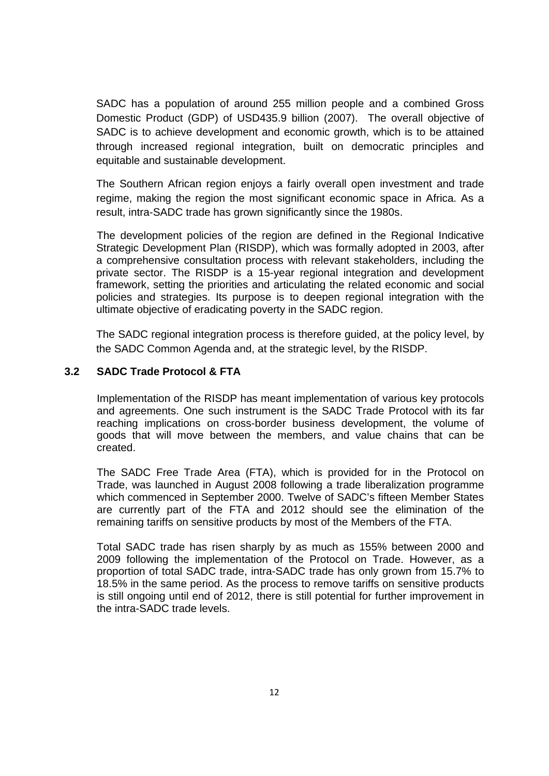SADC has a population of around 255 million people and a combined Gross Domestic Product (GDP) of USD435.9 billion (2007). The overall objective of SADC is to achieve development and economic growth, which is to be attained through increased regional integration, built on democratic principles and equitable and sustainable development.

The Southern African region enjoys a fairly overall open investment and trade regime, making the region the most significant economic space in Africa. As a result, intra-SADC trade has grown significantly since the 1980s.

 The development policies of the region are defined in the Regional Indicative Strategic Development Plan (RISDP), which was formally adopted in 2003, after a comprehensive consultation process with relevant stakeholders, including the private sector. The RISDP is a 15-year regional integration and development framework, setting the priorities and articulating the related economic and social policies and strategies. Its purpose is to deepen regional integration with the ultimate objective of eradicating poverty in the SADC region.

The SADC regional integration process is therefore guided, at the policy level, by the SADC Common Agenda and, at the strategic level, by the RISDP.

### **3.2 SADC Trade Protocol & FTA**

Implementation of the RISDP has meant implementation of various key protocols and agreements. One such instrument is the SADC Trade Protocol with its far reaching implications on cross-border business development, the volume of goods that will move between the members, and value chains that can be created.

The SADC Free Trade Area (FTA), which is provided for in the Protocol on Trade, was launched in August 2008 following a trade liberalization programme which commenced in September 2000. Twelve of SADC's fifteen Member States are currently part of the FTA and 2012 should see the elimination of the remaining tariffs on sensitive products by most of the Members of the FTA.

Total SADC trade has risen sharply by as much as 155% between 2000 and 2009 following the implementation of the Protocol on Trade. However, as a proportion of total SADC trade, intra-SADC trade has only grown from 15.7% to 18.5% in the same period. As the process to remove tariffs on sensitive products is still ongoing until end of 2012, there is still potential for further improvement in the intra-SADC trade levels.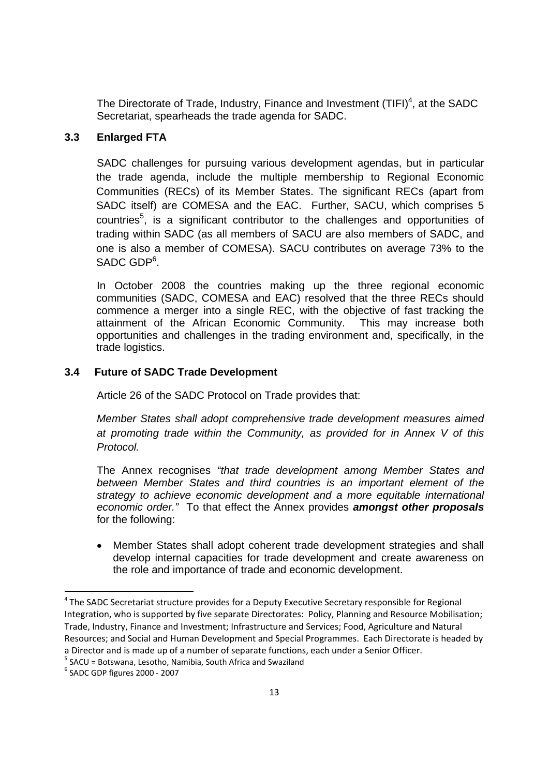The Directorate of Trade, Industry, Finance and Investment  $(TIFI)^4$ , at the SADC Secretariat, spearheads the trade agenda for SADC.

### **3.3 Enlarged FTA**

 SADC challenges for pursuing various development agendas, but in particular the trade agenda, include the multiple membership to Regional Economic Communities (RECs) of its Member States. The significant RECs (apart from SADC itself) are COMESA and the EAC. Further, SACU, which comprises 5 countries<sup>5</sup>, is a significant contributor to the challenges and opportunities of trading within SADC (as all members of SACU are also members of SADC, and one is also a member of COMESA). SACU contributes on average 73% to the SADC GDP<sup>6</sup>.

 In October 2008 the countries making up the three regional economic communities (SADC, COMESA and EAC) resolved that the three RECs should commence a merger into a single REC, with the objective of fast tracking the attainment of the African Economic Community. This may increase both opportunities and challenges in the trading environment and, specifically, in the trade logistics.

### **3.4 Future of SADC Trade Development**

Article 26 of the SADC Protocol on Trade provides that:

*Member States shall adopt comprehensive trade development measures aimed at promoting trade within the Community, as provided for in Annex V of this Protocol.* 

The Annex recognises *"that trade development among Member States and between Member States and third countries is an important element of the strategy to achieve economic development and a more equitable international economic order."* To that effect the Annex provides *amongst other proposals*  for the following:

 Member States shall adopt coherent trade development strategies and shall develop internal capacities for trade development and create awareness on the role and importance of trade and economic development.

1

<sup>4</sup> The SADC Secretariat structure provides for a Deputy Executive Secretary responsible for Regional Integration, who is supported by five separate Directorates: Policy, Planning and Resource Mobilisation; Trade, Industry, Finance and Investment; Infrastructure and Services; Food, Agriculture and Natural Resources; and Social and Human Development and Special Programmes. Each Directorate is headed by a Director and is made up of a number of separate functions, each under a Senior Officer.

 $=$  SACU = Botswana, Lesotho, Namibia, South Africa and Swaziland  $=$  6 sADC CDB figures 2000 = 2007

 $6$  SADC GDP figures 2000 - 2007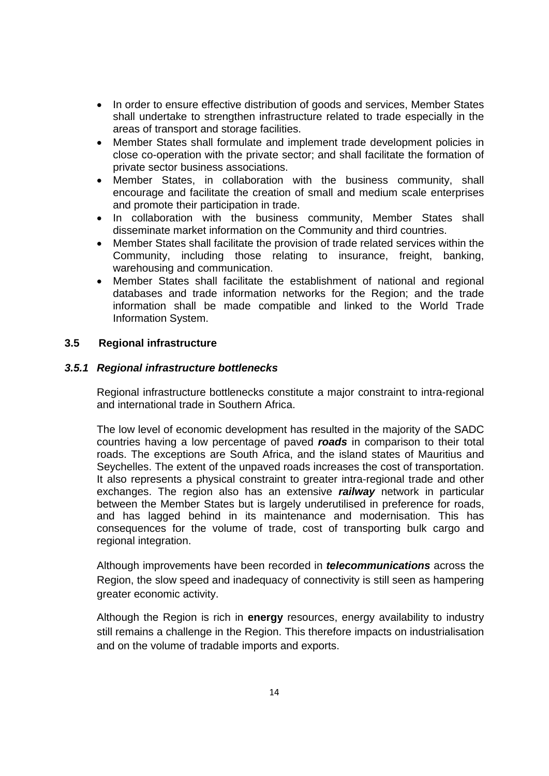- In order to ensure effective distribution of goods and services, Member States shall undertake to strengthen infrastructure related to trade especially in the areas of transport and storage facilities.
- Member States shall formulate and implement trade development policies in close co-operation with the private sector; and shall facilitate the formation of private sector business associations.
- Member States, in collaboration with the business community, shall encourage and facilitate the creation of small and medium scale enterprises and promote their participation in trade.
- In collaboration with the business community, Member States shall disseminate market information on the Community and third countries.
- Member States shall facilitate the provision of trade related services within the Community, including those relating to insurance, freight, banking, warehousing and communication.
- Member States shall facilitate the establishment of national and regional databases and trade information networks for the Region; and the trade information shall be made compatible and linked to the World Trade Information System.

### **3.5 Regional infrastructure**

### *3.5.1 Regional infrastructure bottlenecks*

Regional infrastructure bottlenecks constitute a major constraint to intra-regional and international trade in Southern Africa.

The low level of economic development has resulted in the majority of the SADC countries having a low percentage of paved *roads* in comparison to their total roads. The exceptions are South Africa, and the island states of Mauritius and Seychelles. The extent of the unpaved roads increases the cost of transportation. It also represents a physical constraint to greater intra-regional trade and other exchanges. The region also has an extensive *railway* network in particular between the Member States but is largely underutilised in preference for roads, and has lagged behind in its maintenance and modernisation. This has consequences for the volume of trade, cost of transporting bulk cargo and regional integration.

Although improvements have been recorded in *telecommunications* across the Region, the slow speed and inadequacy of connectivity is still seen as hampering greater economic activity.

Although the Region is rich in **energy** resources, energy availability to industry still remains a challenge in the Region. This therefore impacts on industrialisation and on the volume of tradable imports and exports.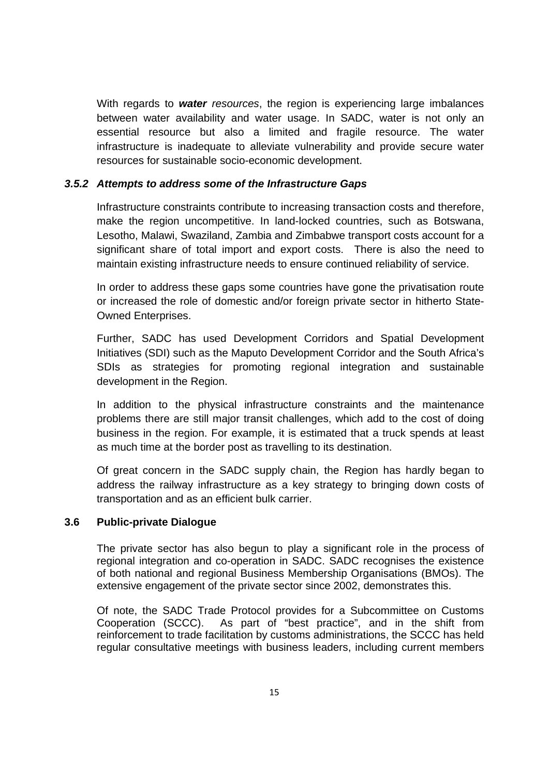With regards to *water resources*, the region is experiencing large imbalances between water availability and water usage. In SADC, water is not only an essential resource but also a limited and fragile resource. The water infrastructure is inadequate to alleviate vulnerability and provide secure water resources for sustainable socio-economic development.

#### *3.5.2 Attempts to address some of the Infrastructure Gaps*

Infrastructure constraints contribute to increasing transaction costs and therefore, make the region uncompetitive. In land-locked countries, such as Botswana, Lesotho, Malawi, Swaziland, Zambia and Zimbabwe transport costs account for a significant share of total import and export costs. There is also the need to maintain existing infrastructure needs to ensure continued reliability of service.

In order to address these gaps some countries have gone the privatisation route or increased the role of domestic and/or foreign private sector in hitherto State-Owned Enterprises.

Further, SADC has used Development Corridors and Spatial Development Initiatives (SDI) such as the Maputo Development Corridor and the South Africa's SDIs as strategies for promoting regional integration and sustainable development in the Region.

In addition to the physical infrastructure constraints and the maintenance problems there are still major transit challenges, which add to the cost of doing business in the region. For example, it is estimated that a truck spends at least as much time at the border post as travelling to its destination.

Of great concern in the SADC supply chain, the Region has hardly began to address the railway infrastructure as a key strategy to bringing down costs of transportation and as an efficient bulk carrier.

### **3.6 Public-private Dialogue**

The private sector has also begun to play a significant role in the process of regional integration and co-operation in SADC. SADC recognises the existence of both national and regional Business Membership Organisations (BMOs). The extensive engagement of the private sector since 2002, demonstrates this.

Of note, the SADC Trade Protocol provides for a Subcommittee on Customs Cooperation (SCCC). As part of "best practice", and in the shift from reinforcement to trade facilitation by customs administrations, the SCCC has held regular consultative meetings with business leaders, including current members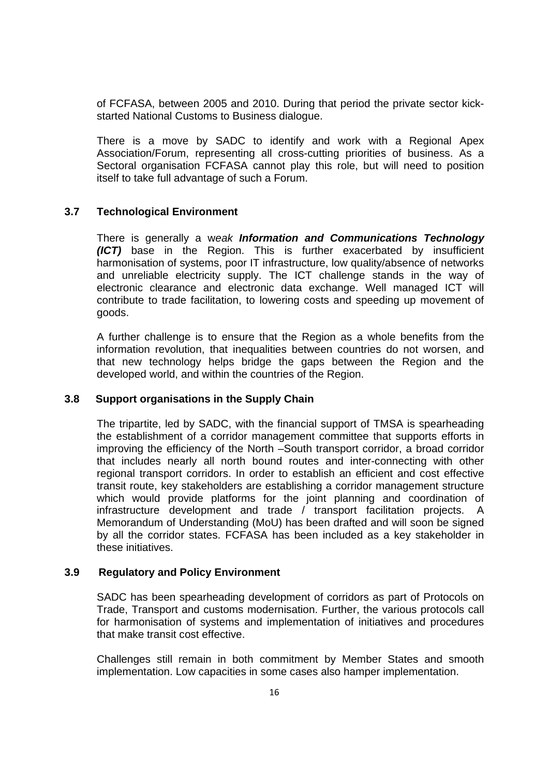of FCFASA, between 2005 and 2010. During that period the private sector kickstarted National Customs to Business dialogue.

There is a move by SADC to identify and work with a Regional Apex Association/Forum, representing all cross-cutting priorities of business. As a Sectoral organisation FCFASA cannot play this role, but will need to position itself to take full advantage of such a Forum.

### **3.7 Technological Environment**

There is generally a w*eak Information and Communications Technology (ICT)* base in the Region. This is further exacerbated by insufficient harmonisation of systems, poor IT infrastructure, low quality/absence of networks and unreliable electricity supply. The ICT challenge stands in the way of electronic clearance and electronic data exchange. Well managed ICT will contribute to trade facilitation, to lowering costs and speeding up movement of goods.

A further challenge is to ensure that the Region as a whole benefits from the information revolution, that inequalities between countries do not worsen, and that new technology helps bridge the gaps between the Region and the developed world, and within the countries of the Region.

#### **3.8 Support organisations in the Supply Chain**

The tripartite, led by SADC, with the financial support of TMSA is spearheading the establishment of a corridor management committee that supports efforts in improving the efficiency of the North –South transport corridor, a broad corridor that includes nearly all north bound routes and inter-connecting with other regional transport corridors. In order to establish an efficient and cost effective transit route, key stakeholders are establishing a corridor management structure which would provide platforms for the joint planning and coordination of infrastructure development and trade / transport facilitation projects. A Memorandum of Understanding (MoU) has been drafted and will soon be signed by all the corridor states. FCFASA has been included as a key stakeholder in these initiatives.

#### **3.9 Regulatory and Policy Environment**

SADC has been spearheading development of corridors as part of Protocols on Trade, Transport and customs modernisation. Further, the various protocols call for harmonisation of systems and implementation of initiatives and procedures that make transit cost effective.

Challenges still remain in both commitment by Member States and smooth implementation. Low capacities in some cases also hamper implementation.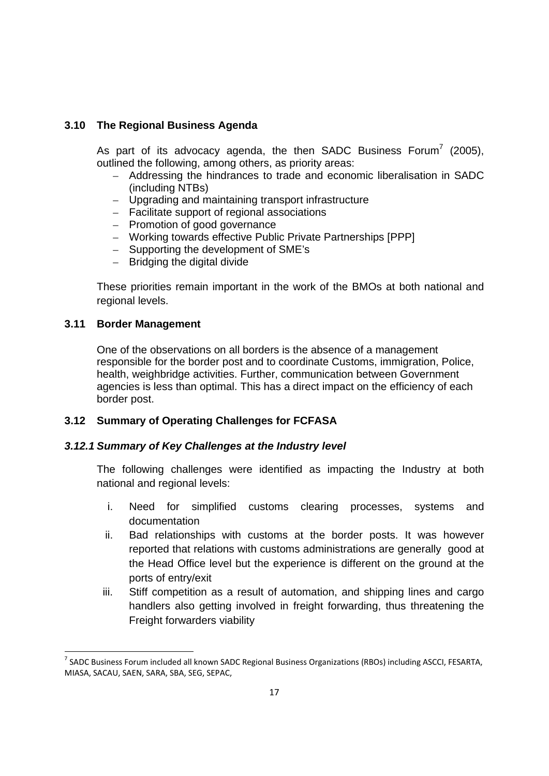### **3.10 The Regional Business Agenda**

As part of its advocacy agenda, the then SADC Business Forum<sup>7</sup> (2005), outlined the following, among others, as priority areas:

- Addressing the hindrances to trade and economic liberalisation in SADC (including NTBs)
- Upgrading and maintaining transport infrastructure
- Facilitate support of regional associations
- Promotion of good governance
- Working towards effective Public Private Partnerships [PPP]
- Supporting the development of SME's
- Bridging the digital divide

These priorities remain important in the work of the BMOs at both national and regional levels.

### **3.11 Border Management**

1

One of the observations on all borders is the absence of a management responsible for the border post and to coordinate Customs, immigration, Police, health, weighbridge activities. Further, communication between Government agencies is less than optimal. This has a direct impact on the efficiency of each border post.

### **3.12 Summary of Operating Challenges for FCFASA**

### *3.12.1 Summary of Key Challenges at the Industry level*

The following challenges were identified as impacting the Industry at both national and regional levels:

- i. Need for simplified customs clearing processes, systems and documentation
- ii. Bad relationships with customs at the border posts. It was however reported that relations with customs administrations are generally good at the Head Office level but the experience is different on the ground at the ports of entry/exit
- iii. Stiff competition as a result of automation, and shipping lines and cargo handlers also getting involved in freight forwarding, thus threatening the Freight forwarders viability

<sup>&</sup>lt;sup>7</sup> SADC Business Forum included all known SADC Regional Business Organizations (RBOs) including ASCCI, FESARTA, MIASA, SACAU, SAEN, SARA, SBA, SEG, SEPAC,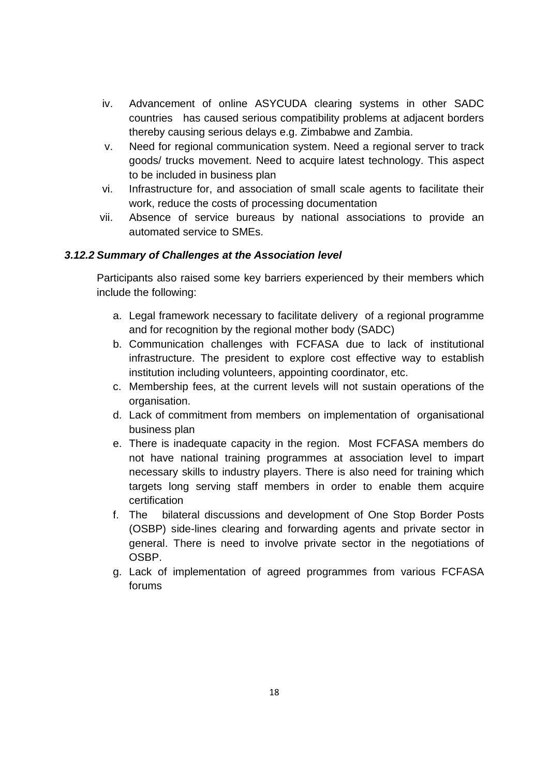- iv. Advancement of online ASYCUDA clearing systems in other SADC countries has caused serious compatibility problems at adjacent borders thereby causing serious delays e.g. Zimbabwe and Zambia.
- v. Need for regional communication system. Need a regional server to track goods/ trucks movement. Need to acquire latest technology. This aspect to be included in business plan
- vi. Infrastructure for, and association of small scale agents to facilitate their work, reduce the costs of processing documentation
- vii. Absence of service bureaus by national associations to provide an automated service to SMEs.

### *3.12.2 Summary of Challenges at the Association level*

Participants also raised some key barriers experienced by their members which include the following:

- a. Legal framework necessary to facilitate delivery of a regional programme and for recognition by the regional mother body (SADC)
- b. Communication challenges with FCFASA due to lack of institutional infrastructure. The president to explore cost effective way to establish institution including volunteers, appointing coordinator, etc.
- c. Membership fees, at the current levels will not sustain operations of the organisation.
- d. Lack of commitment from members on implementation of organisational business plan
- e. There is inadequate capacity in the region. Most FCFASA members do not have national training programmes at association level to impart necessary skills to industry players. There is also need for training which targets long serving staff members in order to enable them acquire certification
- f. The bilateral discussions and development of One Stop Border Posts (OSBP) side-lines clearing and forwarding agents and private sector in general. There is need to involve private sector in the negotiations of OSBP.
- g. Lack of implementation of agreed programmes from various FCFASA forums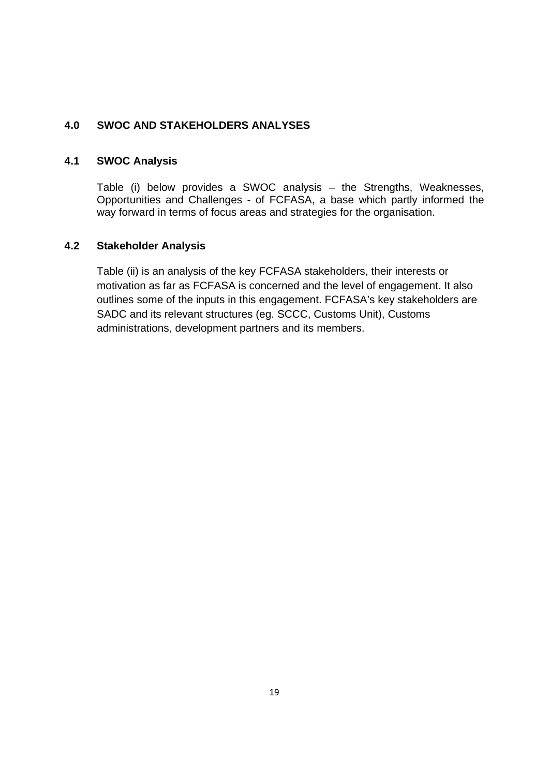### **4.0 SWOC AND STAKEHOLDERS ANALYSES**

### **4.1 SWOC Analysis**

Table (i) below provides a SWOC analysis – the Strengths, Weaknesses, Opportunities and Challenges - of FCFASA, a base which partly informed the way forward in terms of focus areas and strategies for the organisation.

### **4.2 Stakeholder Analysis**

Table (ii) is an analysis of the key FCFASA stakeholders, their interests or motivation as far as FCFASA is concerned and the level of engagement. It also outlines some of the inputs in this engagement. FCFASA's key stakeholders are SADC and its relevant structures (eg. SCCC, Customs Unit), Customs administrations, development partners and its members.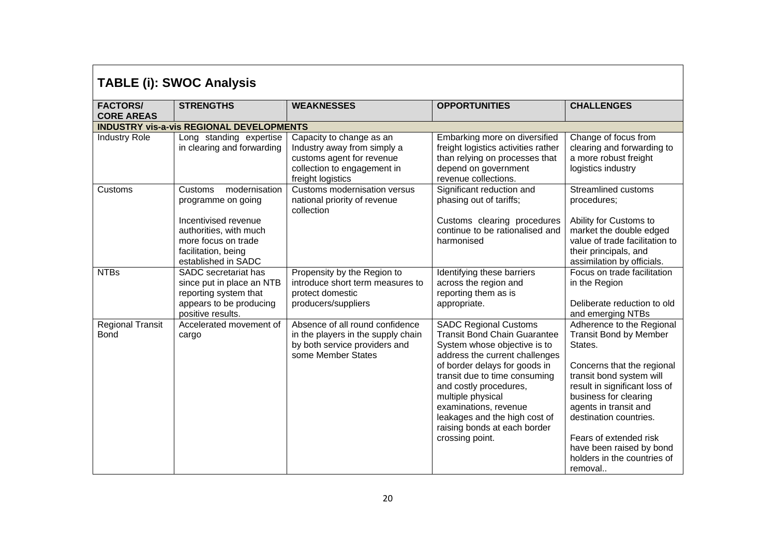| <b>TABLE (i): SWOC Analysis</b>        |                                                                                                                                                                       |                                                                                                                                          |                                                                                                                                                                                                                                                                                                                                                                     |                                                                                                                                                                                                                                                                                                                                              |  |
|----------------------------------------|-----------------------------------------------------------------------------------------------------------------------------------------------------------------------|------------------------------------------------------------------------------------------------------------------------------------------|---------------------------------------------------------------------------------------------------------------------------------------------------------------------------------------------------------------------------------------------------------------------------------------------------------------------------------------------------------------------|----------------------------------------------------------------------------------------------------------------------------------------------------------------------------------------------------------------------------------------------------------------------------------------------------------------------------------------------|--|
| <b>FACTORS/</b><br><b>CORE AREAS</b>   | <b>STRENGTHS</b>                                                                                                                                                      | <b>WEAKNESSES</b>                                                                                                                        | <b>OPPORTUNITIES</b>                                                                                                                                                                                                                                                                                                                                                | <b>CHALLENGES</b>                                                                                                                                                                                                                                                                                                                            |  |
|                                        | <b>INDUSTRY vis-a-vis REGIONAL DEVELOPMENTS</b>                                                                                                                       |                                                                                                                                          |                                                                                                                                                                                                                                                                                                                                                                     |                                                                                                                                                                                                                                                                                                                                              |  |
| <b>Industry Role</b>                   | Long standing expertise<br>in clearing and forwarding                                                                                                                 | Capacity to change as an<br>Industry away from simply a<br>customs agent for revenue<br>collection to engagement in<br>freight logistics | Embarking more on diversified<br>freight logistics activities rather<br>than relying on processes that<br>depend on government<br>revenue collections.                                                                                                                                                                                                              | Change of focus from<br>clearing and forwarding to<br>a more robust freight<br>logistics industry                                                                                                                                                                                                                                            |  |
| Customs                                | modernisation<br>Customs<br>programme on going<br>Incentivised revenue<br>authorities, with much<br>more focus on trade<br>facilitation, being<br>established in SADC | Customs modernisation versus<br>national priority of revenue<br>collection                                                               | Significant reduction and<br>phasing out of tariffs;<br>Customs clearing procedures<br>continue to be rationalised and<br>harmonised                                                                                                                                                                                                                                | <b>Streamlined customs</b><br>procedures;<br>Ability for Customs to<br>market the double edged<br>value of trade facilitation to<br>their principals, and<br>assimilation by officials.                                                                                                                                                      |  |
| <b>NTBs</b>                            | <b>SADC</b> secretariat has<br>since put in place an NTB<br>reporting system that<br>appears to be producing<br>positive results.                                     | Propensity by the Region to<br>introduce short term measures to<br>protect domestic<br>producers/suppliers                               | Identifying these barriers<br>across the region and<br>reporting them as is<br>appropriate.                                                                                                                                                                                                                                                                         | Focus on trade facilitation<br>in the Region<br>Deliberate reduction to old<br>and emerging NTBs                                                                                                                                                                                                                                             |  |
| <b>Regional Transit</b><br><b>Bond</b> | Accelerated movement of<br>cargo                                                                                                                                      | Absence of all round confidence<br>in the players in the supply chain<br>by both service providers and<br>some Member States             | <b>SADC Regional Customs</b><br><b>Transit Bond Chain Guarantee</b><br>System whose objective is to<br>address the current challenges<br>of border delays for goods in<br>transit due to time consuming<br>and costly procedures,<br>multiple physical<br>examinations, revenue<br>leakages and the high cost of<br>raising bonds at each border<br>crossing point. | Adherence to the Regional<br><b>Transit Bond by Member</b><br>States.<br>Concerns that the regional<br>transit bond system will<br>result in significant loss of<br>business for clearing<br>agents in transit and<br>destination countries.<br>Fears of extended risk<br>have been raised by bond<br>holders in the countries of<br>removal |  |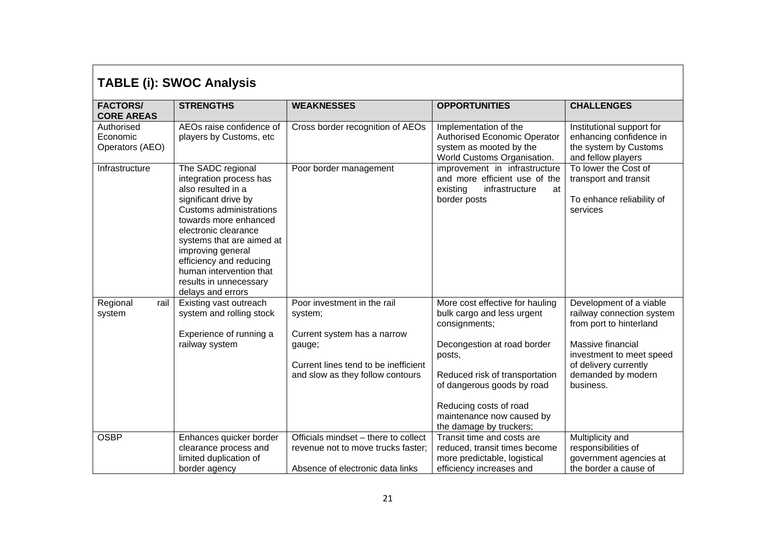| <b>TABLE (i): SWOC Analysis</b>           |                                                                                                                                                                                                                                                                                                                               |                                                                                                                                                             |                                                                                                                                                                                                                                                                           |                                                                                                                                                                                              |  |
|-------------------------------------------|-------------------------------------------------------------------------------------------------------------------------------------------------------------------------------------------------------------------------------------------------------------------------------------------------------------------------------|-------------------------------------------------------------------------------------------------------------------------------------------------------------|---------------------------------------------------------------------------------------------------------------------------------------------------------------------------------------------------------------------------------------------------------------------------|----------------------------------------------------------------------------------------------------------------------------------------------------------------------------------------------|--|
| <b>FACTORS/</b><br><b>CORE AREAS</b>      | <b>STRENGTHS</b>                                                                                                                                                                                                                                                                                                              | <b>WEAKNESSES</b>                                                                                                                                           | <b>OPPORTUNITIES</b>                                                                                                                                                                                                                                                      | <b>CHALLENGES</b>                                                                                                                                                                            |  |
| Authorised<br>Economic<br>Operators (AEO) | AEOs raise confidence of<br>players by Customs, etc                                                                                                                                                                                                                                                                           | Cross border recognition of AEOs                                                                                                                            | Implementation of the<br>Authorised Economic Operator<br>system as mooted by the<br>World Customs Organisation.                                                                                                                                                           | Institutional support for<br>enhancing confidence in<br>the system by Customs<br>and fellow players                                                                                          |  |
| Infrastructure                            | The SADC regional<br>integration process has<br>also resulted in a<br>significant drive by<br>Customs administrations<br>towards more enhanced<br>electronic clearance<br>systems that are aimed at<br>improving general<br>efficiency and reducing<br>human intervention that<br>results in unnecessary<br>delays and errors | Poor border management                                                                                                                                      | improvement in infrastructure<br>and more efficient use of the<br>infrastructure<br>existing<br>at<br>border posts                                                                                                                                                        | To lower the Cost of<br>transport and transit<br>To enhance reliability of<br>services                                                                                                       |  |
| rail<br>Regional<br>system                | Existing vast outreach<br>system and rolling stock<br>Experience of running a<br>railway system                                                                                                                                                                                                                               | Poor investment in the rail<br>system;<br>Current system has a narrow<br>gauge;<br>Current lines tend to be inefficient<br>and slow as they follow contours | More cost effective for hauling<br>bulk cargo and less urgent<br>consignments;<br>Decongestion at road border<br>posts,<br>Reduced risk of transportation<br>of dangerous goods by road<br>Reducing costs of road<br>maintenance now caused by<br>the damage by truckers; | Development of a viable<br>railway connection system<br>from port to hinterland<br>Massive financial<br>investment to meet speed<br>of delivery currently<br>demanded by modern<br>business. |  |
| <b>OSBP</b>                               | Enhances quicker border<br>clearance process and<br>limited duplication of<br>border agency                                                                                                                                                                                                                                   | Officials mindset - there to collect<br>revenue not to move trucks faster;<br>Absence of electronic data links                                              | Transit time and costs are<br>reduced, transit times become<br>more predictable, logistical<br>efficiency increases and                                                                                                                                                   | Multiplicity and<br>responsibilities of<br>government agencies at<br>the border a cause of                                                                                                   |  |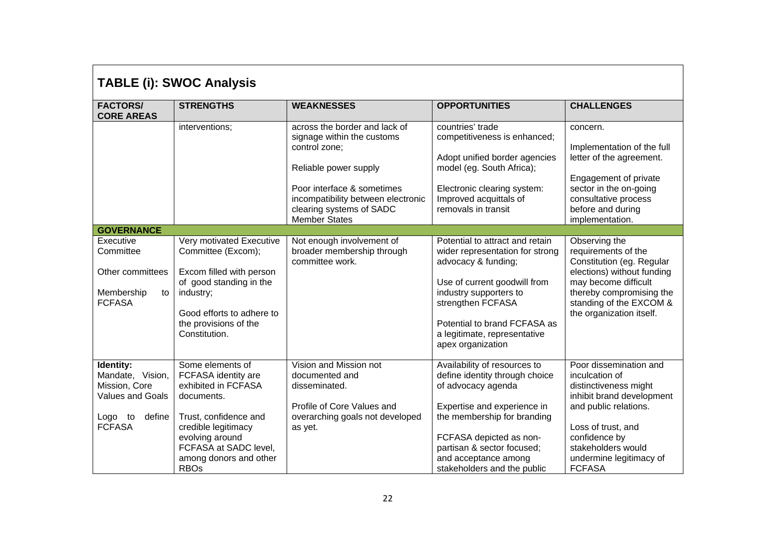| <b>TABLE (i): SWOC Analysis</b>                                                                             |                                                                                                                                                                                                                   |                                                                                                                                                                                                                               |                                                                                                                                                                                                                                                                    |                                                                                                                                                                                                                                  |  |
|-------------------------------------------------------------------------------------------------------------|-------------------------------------------------------------------------------------------------------------------------------------------------------------------------------------------------------------------|-------------------------------------------------------------------------------------------------------------------------------------------------------------------------------------------------------------------------------|--------------------------------------------------------------------------------------------------------------------------------------------------------------------------------------------------------------------------------------------------------------------|----------------------------------------------------------------------------------------------------------------------------------------------------------------------------------------------------------------------------------|--|
| <b>FACTORS/</b><br><b>CORE AREAS</b>                                                                        | <b>STRENGTHS</b>                                                                                                                                                                                                  | <b>WEAKNESSES</b>                                                                                                                                                                                                             | <b>OPPORTUNITIES</b>                                                                                                                                                                                                                                               | <b>CHALLENGES</b>                                                                                                                                                                                                                |  |
|                                                                                                             | interventions;                                                                                                                                                                                                    | across the border and lack of<br>signage within the customs<br>control zone;<br>Reliable power supply<br>Poor interface & sometimes<br>incompatibility between electronic<br>clearing systems of SADC<br><b>Member States</b> | countries' trade<br>competitiveness is enhanced;<br>Adopt unified border agencies<br>model (eg. South Africa);<br>Electronic clearing system:<br>Improved acquittals of<br>removals in transit                                                                     | concern.<br>Implementation of the full<br>letter of the agreement.<br>Engagement of private<br>sector in the on-going<br>consultative process<br>before and during<br>implementation.                                            |  |
| <b>GOVERNANCE</b>                                                                                           |                                                                                                                                                                                                                   |                                                                                                                                                                                                                               |                                                                                                                                                                                                                                                                    |                                                                                                                                                                                                                                  |  |
| Executive<br>Committee<br>Other committees<br>Membership<br>to<br><b>FCFASA</b>                             | Very motivated Executive<br>Committee (Excom);<br>Excom filled with person<br>of good standing in the<br>industry;<br>Good efforts to adhere to<br>the provisions of the<br>Constitution.                         | Not enough involvement of<br>broader membership through<br>committee work.                                                                                                                                                    | Potential to attract and retain<br>wider representation for strong<br>advocacy & funding;<br>Use of current goodwill from<br>industry supporters to<br>strengthen FCFASA<br>Potential to brand FCFASA as<br>a legitimate, representative<br>apex organization      | Observing the<br>requirements of the<br>Constitution (eg. Regular<br>elections) without funding<br>may become difficult<br>thereby compromising the<br>standing of the EXCOM &<br>the organization itself.                       |  |
| Identity:<br>Mandate, Vision,<br>Mission, Core<br>Values and Goals<br>Logo<br>define<br>to<br><b>FCFASA</b> | Some elements of<br>FCFASA identity are<br>exhibited in FCFASA<br>documents.<br>Trust, confidence and<br>credible legitimacy<br>evolving around<br>FCFASA at SADC level,<br>among donors and other<br><b>RBOs</b> | Vision and Mission not<br>documented and<br>disseminated.<br>Profile of Core Values and<br>overarching goals not developed<br>as yet.                                                                                         | Availability of resources to<br>define identity through choice<br>of advocacy agenda<br>Expertise and experience in<br>the membership for branding<br>FCFASA depicted as non-<br>partisan & sector focused;<br>and acceptance among<br>stakeholders and the public | Poor dissemination and<br>inculcation of<br>distinctiveness might<br>inhibit brand development<br>and public relations.<br>Loss of trust, and<br>confidence by<br>stakeholders would<br>undermine legitimacy of<br><b>FCFASA</b> |  |

٦

 $\Gamma$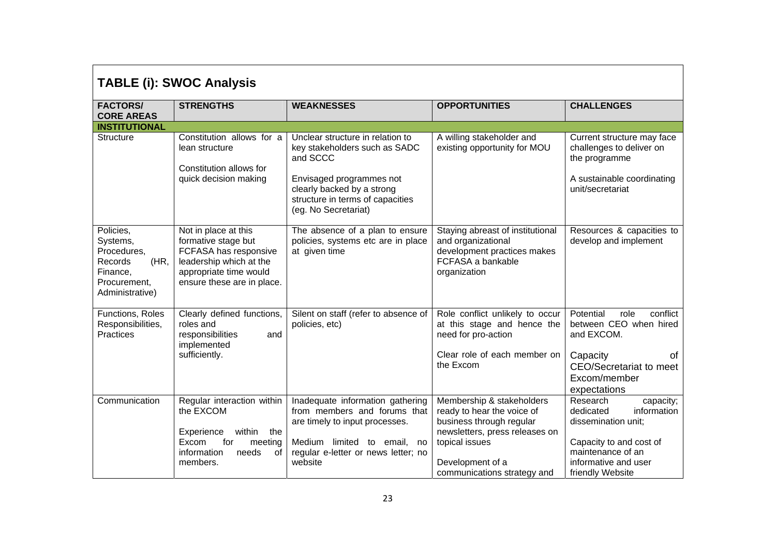| <b>TABLE (i): SWOC Analysis</b>                                                                        |                                                                                                                                                         |                                                                                                                                                                                                     |                                                                                                                                                                                            |                                                                                                                                                                      |  |
|--------------------------------------------------------------------------------------------------------|---------------------------------------------------------------------------------------------------------------------------------------------------------|-----------------------------------------------------------------------------------------------------------------------------------------------------------------------------------------------------|--------------------------------------------------------------------------------------------------------------------------------------------------------------------------------------------|----------------------------------------------------------------------------------------------------------------------------------------------------------------------|--|
| <b>FACTORS/</b><br><b>CORE AREAS</b>                                                                   | <b>STRENGTHS</b>                                                                                                                                        | <b>WEAKNESSES</b>                                                                                                                                                                                   | <b>OPPORTUNITIES</b>                                                                                                                                                                       | <b>CHALLENGES</b>                                                                                                                                                    |  |
| <b>INSTITUTIONAL</b>                                                                                   |                                                                                                                                                         |                                                                                                                                                                                                     |                                                                                                                                                                                            |                                                                                                                                                                      |  |
| Structure                                                                                              | Constitution allows for a<br>lean structure<br>Constitution allows for<br>quick decision making                                                         | Unclear structure in relation to<br>key stakeholders such as SADC<br>and SCCC<br>Envisaged programmes not<br>clearly backed by a strong<br>structure in terms of capacities<br>(eg. No Secretariat) | A willing stakeholder and<br>existing opportunity for MOU                                                                                                                                  | Current structure may face<br>challenges to deliver on<br>the programme<br>A sustainable coordinating<br>unit/secretariat                                            |  |
| Policies,<br>Systems,<br>Procedures,<br>(HR,<br>Records<br>Finance,<br>Procurement,<br>Administrative) | Not in place at this<br>formative stage but<br>FCFASA has responsive<br>leadership which at the<br>appropriate time would<br>ensure these are in place. | The absence of a plan to ensure<br>policies, systems etc are in place<br>at given time                                                                                                              | Staying abreast of institutional<br>and organizational<br>development practices makes<br>FCFASA a bankable<br>organization                                                                 | Resources & capacities to<br>develop and implement                                                                                                                   |  |
| Functions, Roles<br>Responsibilities,<br>Practices                                                     | Clearly defined functions,<br>roles and<br>responsibilities<br>and<br>implemented<br>sufficiently.                                                      | Silent on staff (refer to absence of<br>policies, etc)                                                                                                                                              | Role conflict unlikely to occur<br>at this stage and hence the<br>need for pro-action<br>Clear role of each member on<br>the Excom                                                         | Potential<br>role<br>conflict<br>between CEO when hired<br>and EXCOM.<br>Capacity<br>οt<br><b>CEO/Secretariat to meet</b><br>Excom/member<br>expectations            |  |
| Communication                                                                                          | Regular interaction within<br>the EXCOM<br>within<br>Experience<br>the<br>for<br>Excom<br>meeting<br>information<br>of<br>needs<br>members.             | Inadequate information gathering<br>from members and forums that<br>are timely to input processes.<br>Medium limited to email,<br>no<br>regular e-letter or news letter; no<br>website              | Membership & stakeholders<br>ready to hear the voice of<br>business through regular<br>newsletters, press releases on<br>topical issues<br>Development of a<br>communications strategy and | Research<br>capacity;<br>information<br>dedicated<br>dissemination unit;<br>Capacity to and cost of<br>maintenance of an<br>informative and user<br>friendly Website |  |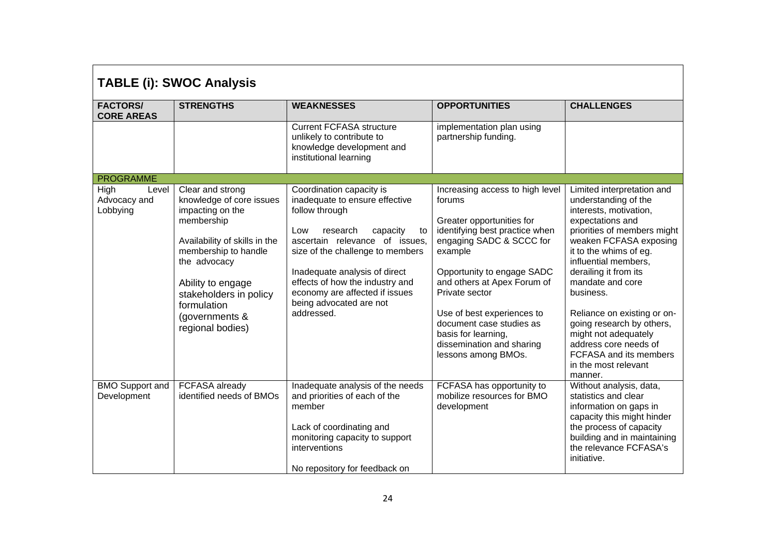| <b>TABLE (i): SWOC Analysis</b>           |                                                                                                                                                                                                                                                             |                                                                                                                                                                                                                                                                                                                                        |                                                                                                                                                                                                                                                                                                                                                                     |                                                                                                                                                                                                                                                                                                                                                                                                                                                 |  |
|-------------------------------------------|-------------------------------------------------------------------------------------------------------------------------------------------------------------------------------------------------------------------------------------------------------------|----------------------------------------------------------------------------------------------------------------------------------------------------------------------------------------------------------------------------------------------------------------------------------------------------------------------------------------|---------------------------------------------------------------------------------------------------------------------------------------------------------------------------------------------------------------------------------------------------------------------------------------------------------------------------------------------------------------------|-------------------------------------------------------------------------------------------------------------------------------------------------------------------------------------------------------------------------------------------------------------------------------------------------------------------------------------------------------------------------------------------------------------------------------------------------|--|
| <b>FACTORS/</b><br><b>CORE AREAS</b>      | <b>STRENGTHS</b>                                                                                                                                                                                                                                            | <b>WEAKNESSES</b>                                                                                                                                                                                                                                                                                                                      | <b>OPPORTUNITIES</b>                                                                                                                                                                                                                                                                                                                                                | <b>CHALLENGES</b>                                                                                                                                                                                                                                                                                                                                                                                                                               |  |
|                                           |                                                                                                                                                                                                                                                             | <b>Current FCFASA structure</b><br>unlikely to contribute to<br>knowledge development and<br>institutional learning                                                                                                                                                                                                                    | implementation plan using<br>partnership funding.                                                                                                                                                                                                                                                                                                                   |                                                                                                                                                                                                                                                                                                                                                                                                                                                 |  |
| <b>PROGRAMME</b>                          |                                                                                                                                                                                                                                                             |                                                                                                                                                                                                                                                                                                                                        |                                                                                                                                                                                                                                                                                                                                                                     |                                                                                                                                                                                                                                                                                                                                                                                                                                                 |  |
| High<br>Level<br>Advocacy and<br>Lobbying | Clear and strong<br>knowledge of core issues<br>impacting on the<br>membership<br>Availability of skills in the<br>membership to handle<br>the advocacy<br>Ability to engage<br>stakeholders in policy<br>formulation<br>(governments &<br>regional bodies) | Coordination capacity is<br>inadequate to ensure effective<br>follow through<br>Low<br>research<br>capacity<br>to<br>ascertain relevance of issues,<br>size of the challenge to members<br>Inadequate analysis of direct<br>effects of how the industry and<br>economy are affected if issues<br>being advocated are not<br>addressed. | Increasing access to high level<br>forums<br>Greater opportunities for<br>identifying best practice when<br>engaging SADC & SCCC for<br>example<br>Opportunity to engage SADC<br>and others at Apex Forum of<br>Private sector<br>Use of best experiences to<br>document case studies as<br>basis for learning,<br>dissemination and sharing<br>lessons among BMOs. | Limited interpretation and<br>understanding of the<br>interests, motivation,<br>expectations and<br>priorities of members might<br>weaken FCFASA exposing<br>it to the whims of eg.<br>influential members,<br>derailing it from its<br>mandate and core<br>business.<br>Reliance on existing or on-<br>going research by others,<br>might not adequately<br>address core needs of<br>FCFASA and its members<br>in the most relevant<br>manner. |  |
| <b>BMO Support and</b><br>Development     | FCFASA already<br>identified needs of BMOs                                                                                                                                                                                                                  | Inadequate analysis of the needs<br>and priorities of each of the<br>member<br>Lack of coordinating and<br>monitoring capacity to support<br>interventions<br>No repository for feedback on                                                                                                                                            | FCFASA has opportunity to<br>mobilize resources for BMO<br>development                                                                                                                                                                                                                                                                                              | Without analysis, data,<br>statistics and clear<br>information on gaps in<br>capacity this might hinder<br>the process of capacity<br>building and in maintaining<br>the relevance FCFASA's<br>initiative.                                                                                                                                                                                                                                      |  |

 $\blacksquare$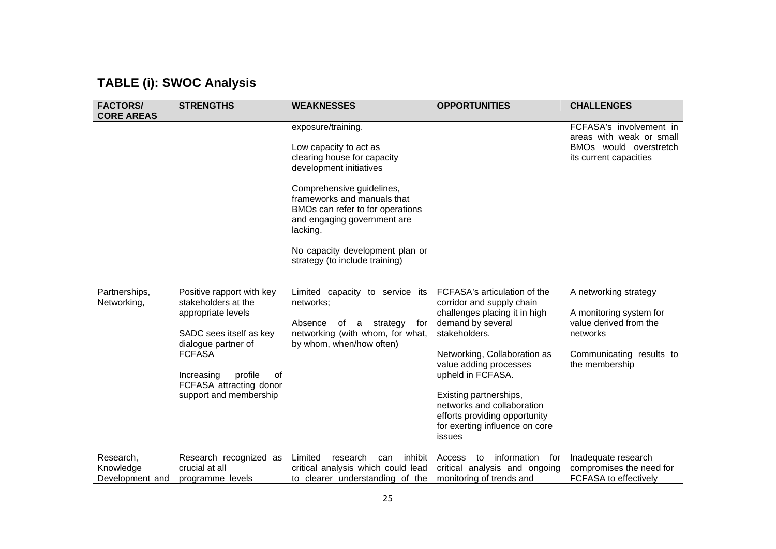| <b>TABLE (i): SWOC Analysis</b>           |                                                                                                                                                                                                                               |                                                                                                                                                                                                                                                                                                                        |                                                                                                                                                                                                                                                                                                                                                      |                                                                                                                                      |  |
|-------------------------------------------|-------------------------------------------------------------------------------------------------------------------------------------------------------------------------------------------------------------------------------|------------------------------------------------------------------------------------------------------------------------------------------------------------------------------------------------------------------------------------------------------------------------------------------------------------------------|------------------------------------------------------------------------------------------------------------------------------------------------------------------------------------------------------------------------------------------------------------------------------------------------------------------------------------------------------|--------------------------------------------------------------------------------------------------------------------------------------|--|
| <b>FACTORS/</b><br><b>CORE AREAS</b>      | <b>STRENGTHS</b>                                                                                                                                                                                                              | <b>WEAKNESSES</b>                                                                                                                                                                                                                                                                                                      | <b>OPPORTUNITIES</b>                                                                                                                                                                                                                                                                                                                                 | <b>CHALLENGES</b>                                                                                                                    |  |
|                                           |                                                                                                                                                                                                                               | exposure/training.<br>Low capacity to act as<br>clearing house for capacity<br>development initiatives<br>Comprehensive guidelines,<br>frameworks and manuals that<br>BMOs can refer to for operations<br>and engaging government are<br>lacking.<br>No capacity development plan or<br>strategy (to include training) |                                                                                                                                                                                                                                                                                                                                                      | FCFASA's involvement in<br>areas with weak or small<br>BMOs would overstretch<br>its current capacities                              |  |
| Partnerships,<br>Networking,              | Positive rapport with key<br>stakeholders at the<br>appropriate levels<br>SADC sees itself as key<br>dialogue partner of<br><b>FCFASA</b><br>profile<br>Increasing<br>0f<br>FCFASA attracting donor<br>support and membership | Limited capacity to service its<br>networks;<br>Absence of a strategy<br>for<br>networking (with whom, for what,<br>by whom, when/how often)                                                                                                                                                                           | FCFASA's articulation of the<br>corridor and supply chain<br>challenges placing it in high<br>demand by several<br>stakeholders.<br>Networking, Collaboration as<br>value adding processes<br>upheld in FCFASA.<br>Existing partnerships,<br>networks and collaboration<br>efforts providing opportunity<br>for exerting influence on core<br>issues | A networking strategy<br>A monitoring system for<br>value derived from the<br>networks<br>Communicating results to<br>the membership |  |
| Research,<br>Knowledge<br>Development and | Research recognized as<br>crucial at all<br>programme levels                                                                                                                                                                  | Limited<br>inhibit<br>research<br>can<br>critical analysis which could lead<br>to clearer understanding of the                                                                                                                                                                                                         | information<br>Access<br>to<br>for<br>critical analysis and ongoing<br>monitoring of trends and                                                                                                                                                                                                                                                      | Inadequate research<br>compromises the need for<br>FCFASA to effectively                                                             |  |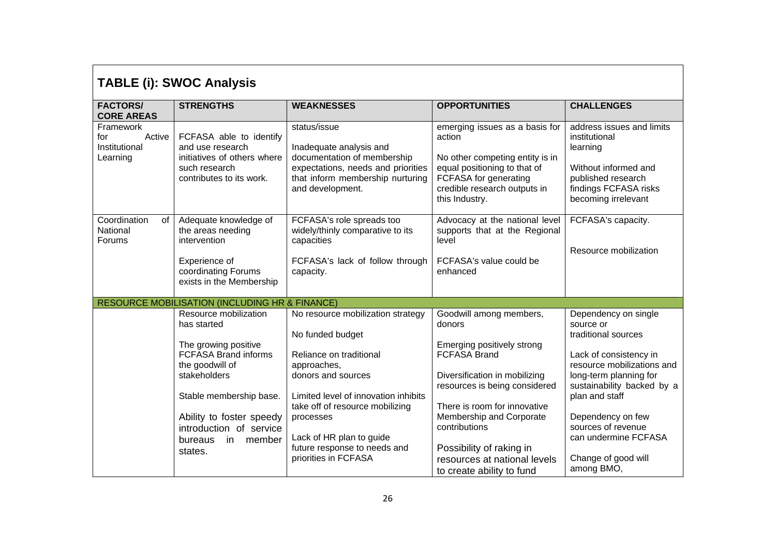| <b>TABLE (i): SWOC Analysis</b>                         |                                                                                                                                                                                                                                                        |                                                                                                                                                                                                                                                                                                   |                                                                                                                                                                                                                                                                                                                                |                                                                                                                                                                                                                                                                                                    |  |
|---------------------------------------------------------|--------------------------------------------------------------------------------------------------------------------------------------------------------------------------------------------------------------------------------------------------------|---------------------------------------------------------------------------------------------------------------------------------------------------------------------------------------------------------------------------------------------------------------------------------------------------|--------------------------------------------------------------------------------------------------------------------------------------------------------------------------------------------------------------------------------------------------------------------------------------------------------------------------------|----------------------------------------------------------------------------------------------------------------------------------------------------------------------------------------------------------------------------------------------------------------------------------------------------|--|
| <b>FACTORS/</b><br><b>CORE AREAS</b>                    | <b>STRENGTHS</b>                                                                                                                                                                                                                                       | <b>WEAKNESSES</b>                                                                                                                                                                                                                                                                                 | <b>OPPORTUNITIES</b>                                                                                                                                                                                                                                                                                                           | <b>CHALLENGES</b>                                                                                                                                                                                                                                                                                  |  |
| Framework<br>Active<br>for<br>Institutional<br>Learning | FCFASA able to identify<br>and use research<br>initiatives of others where<br>such research<br>contributes to its work.                                                                                                                                | status/issue<br>Inadequate analysis and<br>documentation of membership<br>expectations, needs and priorities<br>that inform membership nurturing<br>and development.                                                                                                                              | emerging issues as a basis for<br>action<br>No other competing entity is in<br>equal positioning to that of<br>FCFASA for generating<br>credible research outputs in<br>this Industry.                                                                                                                                         | address issues and limits<br>institutional<br>learning<br>Without informed and<br>published research<br>findings FCFASA risks<br>becoming irrelevant                                                                                                                                               |  |
| Coordination<br>of<br>National<br><b>Forums</b>         | Adequate knowledge of<br>the areas needing<br>intervention<br>Experience of<br>coordinating Forums<br>exists in the Membership                                                                                                                         | FCFASA's role spreads too<br>widely/thinly comparative to its<br>capacities<br>FCFASA's lack of follow through<br>capacity.                                                                                                                                                                       | Advocacy at the national level<br>supports that at the Regional<br>level<br>FCFASA's value could be<br>enhanced                                                                                                                                                                                                                | FCFASA's capacity.<br>Resource mobilization                                                                                                                                                                                                                                                        |  |
|                                                         | <b>RESOURCE MOBILISATION (INCLUDING HR &amp; FINANCE)</b>                                                                                                                                                                                              |                                                                                                                                                                                                                                                                                                   |                                                                                                                                                                                                                                                                                                                                |                                                                                                                                                                                                                                                                                                    |  |
|                                                         | Resource mobilization<br>has started<br>The growing positive<br><b>FCFASA Brand informs</b><br>the goodwill of<br>stakeholders<br>Stable membership base.<br>Ability to foster speedy<br>introduction of service<br>bureaus<br>in<br>member<br>states. | No resource mobilization strategy<br>No funded budget<br>Reliance on traditional<br>approaches,<br>donors and sources<br>Limited level of innovation inhibits<br>take off of resource mobilizing<br>processes<br>Lack of HR plan to guide<br>future response to needs and<br>priorities in FCFASA | Goodwill among members,<br>donors<br>Emerging positively strong<br><b>FCFASA Brand</b><br>Diversification in mobilizing<br>resources is being considered<br>There is room for innovative<br>Membership and Corporate<br>contributions<br>Possibility of raking in<br>resources at national levels<br>to create ability to fund | Dependency on single<br>source or<br>traditional sources<br>Lack of consistency in<br>resource mobilizations and<br>long-term planning for<br>sustainability backed by a<br>plan and staff<br>Dependency on few<br>sources of revenue<br>can undermine FCFASA<br>Change of good will<br>among BMO, |  |

٦

 $\Gamma$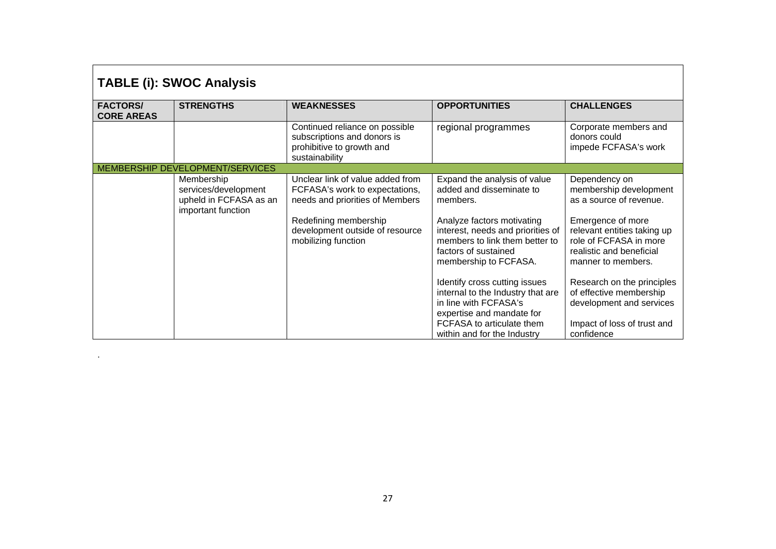| <b>TABLE (i): SWOC Analysis</b>      |                                                                                    |                                                                                                                                |                                                                                                                          |                                                                                                         |  |
|--------------------------------------|------------------------------------------------------------------------------------|--------------------------------------------------------------------------------------------------------------------------------|--------------------------------------------------------------------------------------------------------------------------|---------------------------------------------------------------------------------------------------------|--|
| <b>FACTORS/</b><br><b>CORE AREAS</b> | <b>STRENGTHS</b>                                                                   | <b>WEAKNESSES</b>                                                                                                              | <b>OPPORTUNITIES</b>                                                                                                     | <b>CHALLENGES</b>                                                                                       |  |
|                                      |                                                                                    | Continued reliance on possible<br>subscriptions and donors is<br>prohibitive to growth and<br>sustainability                   | regional programmes                                                                                                      | Corporate members and<br>donors could<br>impede FCFASA's work                                           |  |
|                                      | MEMBERSHIP DEVELOPMENT/SERVICES                                                    |                                                                                                                                |                                                                                                                          |                                                                                                         |  |
|                                      | Membership<br>services/development<br>upheld in FCFASA as an<br>important function | Unclear link of value added from<br>FCFASA's work to expectations,<br>needs and priorities of Members<br>Redefining membership | Expand the analysis of value<br>added and disseminate to<br>members.<br>Analyze factors motivating                       | Dependency on<br>membership development<br>as a source of revenue.<br>Emergence of more                 |  |
|                                      |                                                                                    | development outside of resource<br>mobilizing function                                                                         | interest, needs and priorities of<br>members to link them better to<br>factors of sustained<br>membership to FCFASA.     | relevant entities taking up<br>role of FCFASA in more<br>realistic and beneficial<br>manner to members. |  |
|                                      |                                                                                    |                                                                                                                                | Identify cross cutting issues<br>internal to the Industry that are<br>in line with FCFASA's<br>expertise and mandate for | Research on the principles<br>of effective membership<br>development and services                       |  |
|                                      |                                                                                    |                                                                                                                                | FCFASA to articulate them<br>within and for the Industry                                                                 | Impact of loss of trust and<br>confidence                                                               |  |

#### 27

.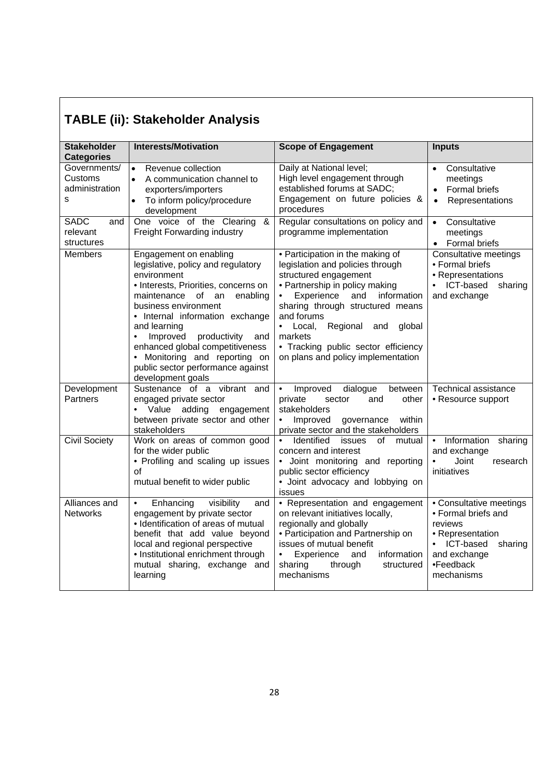| <b>Stakeholder</b><br><b>Categories</b>        | <b>Interests/Motivation</b>                                                                                                                                                                                                                                                                                                                                                                                      | <b>Scope of Engagement</b>                                                                                                                                                                                                                                                                                                                             | <b>Inputs</b>                                                                                                                                      |
|------------------------------------------------|------------------------------------------------------------------------------------------------------------------------------------------------------------------------------------------------------------------------------------------------------------------------------------------------------------------------------------------------------------------------------------------------------------------|--------------------------------------------------------------------------------------------------------------------------------------------------------------------------------------------------------------------------------------------------------------------------------------------------------------------------------------------------------|----------------------------------------------------------------------------------------------------------------------------------------------------|
| Governments/<br>Customs<br>administration<br>S | Revenue collection<br>$\bullet$<br>A communication channel to<br>$\bullet$<br>exporters/importers<br>To inform policy/procedure<br>development                                                                                                                                                                                                                                                                   | Daily at National level;<br>High level engagement through<br>established forums at SADC;<br>Engagement on future policies &<br>procedures                                                                                                                                                                                                              | Consultative<br>meetings<br>Formal briefs<br>Representations<br>$\bullet$                                                                          |
| <b>SADC</b><br>and<br>relevant<br>structures   | One voice of the Clearing<br>&<br>Freight Forwarding industry                                                                                                                                                                                                                                                                                                                                                    | Regular consultations on policy and<br>programme implementation                                                                                                                                                                                                                                                                                        | Consultative<br>$\bullet$<br>meetings<br>• Formal briefs                                                                                           |
| <b>Members</b>                                 | Engagement on enabling<br>legislative, policy and regulatory<br>environment<br>• Interests, Priorities, concerns on<br>maintenance<br>of an<br>enabling<br>business environment<br>• Internal information exchange<br>and learning<br>Improved<br>productivity<br>$\bullet$<br>and<br>enhanced global competitiveness<br>• Monitoring and reporting on<br>public sector performance against<br>development goals | • Participation in the making of<br>legislation and policies through<br>structured engagement<br>• Partnership in policy making<br>Experience<br>and<br>information<br>sharing through structured means<br>and forums<br>• Local,<br>Regional<br>global<br>and<br>markets<br>• Tracking public sector efficiency<br>on plans and policy implementation | Consultative meetings<br>• Formal briefs<br>• Representations<br>ICT-based<br>sharing<br>and exchange                                              |
| Development<br>Partners                        | Sustenance of a vibrant and<br>engaged private sector<br>• Value adding<br>engagement<br>between private sector and other<br>stakeholders                                                                                                                                                                                                                                                                        | Improved<br>dialogue<br>$\bullet$<br>between<br>private<br>sector<br>other<br>and<br>stakeholders<br>governance<br>within<br>$\bullet$<br>Improved<br>private sector and the stakeholders                                                                                                                                                              | <b>Technical assistance</b><br>• Resource support                                                                                                  |
| <b>Civil Society</b>                           | Work on areas of common good<br>for the wider public<br>• Profiling and scaling up issues<br>οf<br>mutual benefit to wider public                                                                                                                                                                                                                                                                                | Identified<br>issues<br>of<br>mutual<br>concern and interest<br>· Joint monitoring and reporting<br>public sector efficiency<br>· Joint advocacy and lobbying on<br>issues                                                                                                                                                                             | Information<br>sharing<br>$\bullet$<br>and exchange<br>Joint<br>$\bullet$<br>research<br>initiatives                                               |
| Alliances and<br><b>Networks</b>               | Enhancing<br>visibility<br>$\bullet$<br>and<br>engagement by private sector<br>• Identification of areas of mutual<br>benefit that add value beyond<br>local and regional perspective<br>• Institutional enrichment through<br>mutual sharing, exchange and<br>learning                                                                                                                                          | • Representation and engagement<br>on relevant initiatives locally,<br>regionally and globally<br>• Participation and Partnership on<br>issues of mutual benefit<br>information<br>Experience<br>and<br>sharing<br>structured<br>through<br>mechanisms                                                                                                 | • Consultative meetings<br>• Formal briefs and<br>reviews<br>• Representation<br>• ICT-based<br>sharing<br>and exchange<br>•Feedback<br>mechanisms |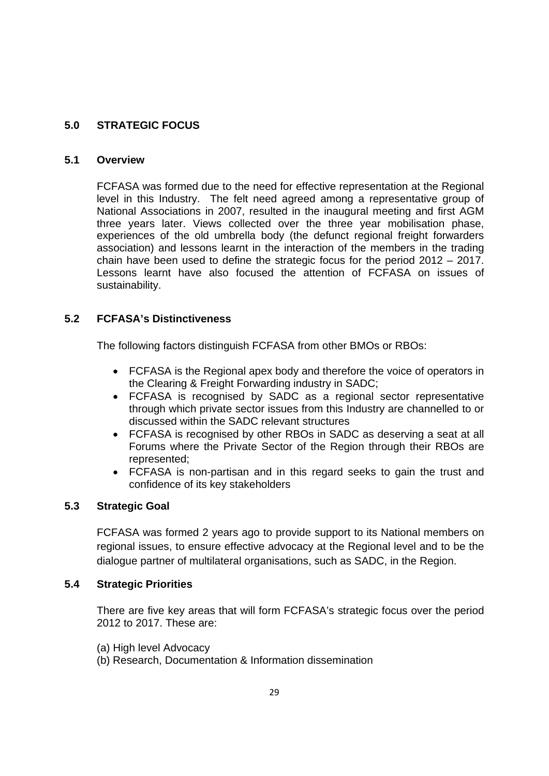### **5.0 STRATEGIC FOCUS**

### **5.1 Overview**

FCFASA was formed due to the need for effective representation at the Regional level in this Industry. The felt need agreed among a representative group of National Associations in 2007, resulted in the inaugural meeting and first AGM three years later. Views collected over the three year mobilisation phase, experiences of the old umbrella body (the defunct regional freight forwarders association) and lessons learnt in the interaction of the members in the trading chain have been used to define the strategic focus for the period 2012 – 2017. Lessons learnt have also focused the attention of FCFASA on issues of sustainability.

### **5.2 FCFASA's Distinctiveness**

The following factors distinguish FCFASA from other BMOs or RBOs:

- FCFASA is the Regional apex body and therefore the voice of operators in the Clearing & Freight Forwarding industry in SADC;
- FCFASA is recognised by SADC as a regional sector representative through which private sector issues from this Industry are channelled to or discussed within the SADC relevant structures
- FCFASA is recognised by other RBOs in SADC as deserving a seat at all Forums where the Private Sector of the Region through their RBOs are represented;
- FCFASA is non-partisan and in this regard seeks to gain the trust and confidence of its key stakeholders

### **5.3 Strategic Goal**

FCFASA was formed 2 years ago to provide support to its National members on regional issues, to ensure effective advocacy at the Regional level and to be the dialogue partner of multilateral organisations, such as SADC, in the Region.

### **5.4 Strategic Priorities**

There are five key areas that will form FCFASA's strategic focus over the period 2012 to 2017. These are:

- (a) High level Advocacy
- (b) Research, Documentation & Information dissemination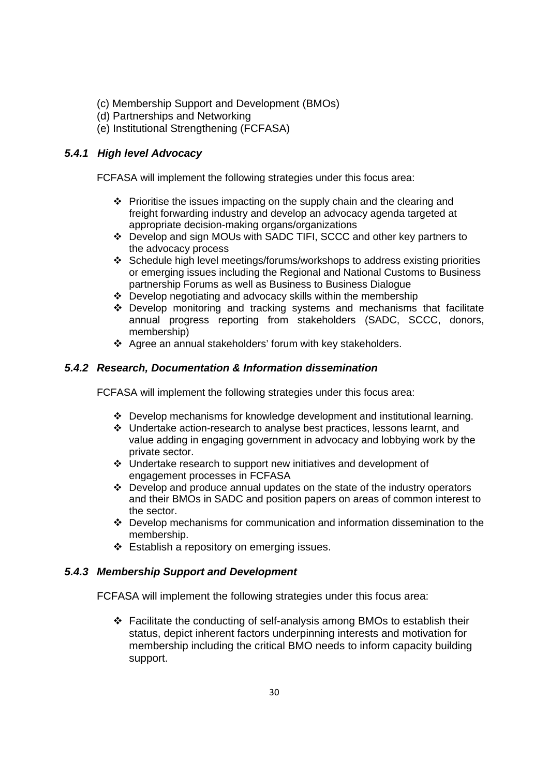- (c) Membership Support and Development (BMOs)
- (d) Partnerships and Networking
- (e) Institutional Strengthening (FCFASA)

### *5.4.1 High level Advocacy*

FCFASA will implement the following strategies under this focus area:

- $\div$  Prioritise the issues impacting on the supply chain and the clearing and freight forwarding industry and develop an advocacy agenda targeted at appropriate decision-making organs/organizations
- Develop and sign MOUs with SADC TIFI, SCCC and other key partners to the advocacy process
- Schedule high level meetings/forums/workshops to address existing priorities or emerging issues including the Regional and National Customs to Business partnership Forums as well as Business to Business Dialogue
- Develop negotiating and advocacy skills within the membership
- Develop monitoring and tracking systems and mechanisms that facilitate annual progress reporting from stakeholders (SADC, SCCC, donors, membership)
- Agree an annual stakeholders' forum with key stakeholders.

### *5.4.2 Research, Documentation & Information dissemination*

FCFASA will implement the following strategies under this focus area:

- $\div$  Develop mechanisms for knowledge development and institutional learning.
- Undertake action-research to analyse best practices, lessons learnt, and value adding in engaging government in advocacy and lobbying work by the private sector.
- Undertake research to support new initiatives and development of engagement processes in FCFASA
- Develop and produce annual updates on the state of the industry operators and their BMOs in SADC and position papers on areas of common interest to the sector.
- Develop mechanisms for communication and information dissemination to the membership.
- ❖ Establish a repository on emerging issues.

### *5.4.3 Membership Support and Development*

FCFASA will implement the following strategies under this focus area:

 $\div$  Facilitate the conducting of self-analysis among BMOs to establish their status, depict inherent factors underpinning interests and motivation for membership including the critical BMO needs to inform capacity building support.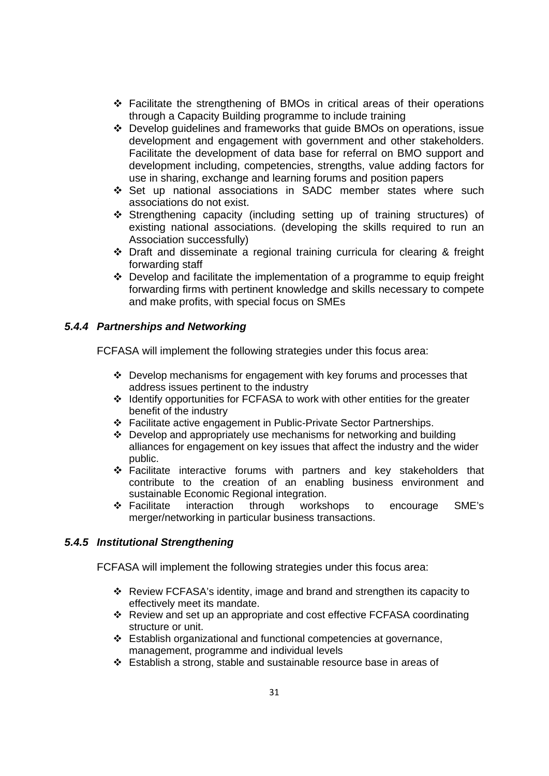- Facilitate the strengthening of BMOs in critical areas of their operations through a Capacity Building programme to include training
- Develop guidelines and frameworks that guide BMOs on operations, issue development and engagement with government and other stakeholders. Facilitate the development of data base for referral on BMO support and development including, competencies, strengths, value adding factors for use in sharing, exchange and learning forums and position papers
- Set up national associations in SADC member states where such associations do not exist.
- Strengthening capacity (including setting up of training structures) of existing national associations. (developing the skills required to run an Association successfully)
- Draft and disseminate a regional training curricula for clearing & freight forwarding staff
- $\cdot$  Develop and facilitate the implementation of a programme to equip freight forwarding firms with pertinent knowledge and skills necessary to compete and make profits, with special focus on SMEs

### *5.4.4 Partnerships and Networking*

FCFASA will implement the following strategies under this focus area:

- Develop mechanisms for engagement with key forums and processes that address issues pertinent to the industry
- Identify opportunities for FCFASA to work with other entities for the greater benefit of the industry
- Facilitate active engagement in Public-Private Sector Partnerships.
- $\div$  Develop and appropriately use mechanisms for networking and building alliances for engagement on key issues that affect the industry and the wider public.
- Facilitate interactive forums with partners and key stakeholders that contribute to the creation of an enabling business environment and sustainable Economic Regional integration.
- Facilitate interaction through workshops to encourage SME's merger/networking in particular business transactions.

### *5.4.5 Institutional Strengthening*

FCFASA will implement the following strategies under this focus area:

- Review FCFASA's identity, image and brand and strengthen its capacity to effectively meet its mandate.
- Review and set up an appropriate and cost effective FCFASA coordinating structure or unit.
- Establish organizational and functional competencies at governance, management, programme and individual levels
- Establish a strong, stable and sustainable resource base in areas of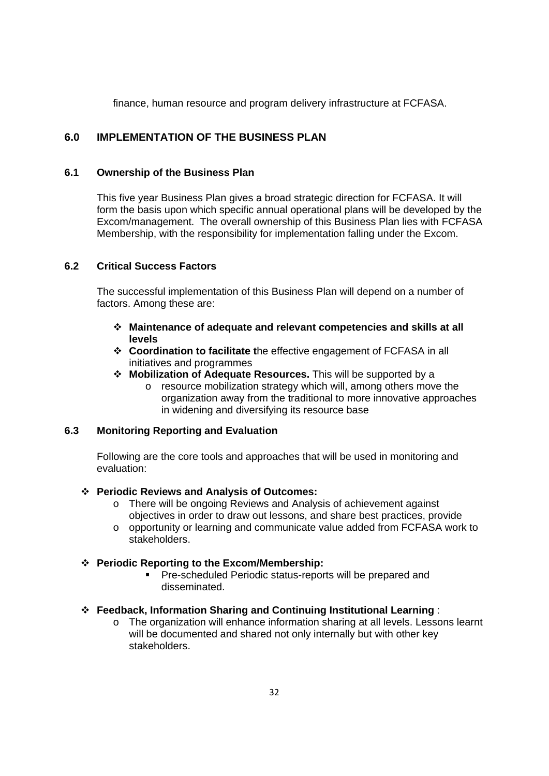finance, human resource and program delivery infrastructure at FCFASA.

### **6.0 IMPLEMENTATION OF THE BUSINESS PLAN**

#### **6.1 Ownership of the Business Plan**

This five year Business Plan gives a broad strategic direction for FCFASA. It will form the basis upon which specific annual operational plans will be developed by the Excom/management. The overall ownership of this Business Plan lies with FCFASA Membership, with the responsibility for implementation falling under the Excom.

### **6.2 Critical Success Factors**

The successful implementation of this Business Plan will depend on a number of factors. Among these are:

- **Maintenance of adequate and relevant competencies and skills at all levels**
- **Coordination to facilitate t**he effective engagement of FCFASA in all initiatives and programmes
- **Mobilization of Adequate Resources.** This will be supported by a
	- o resource mobilization strategy which will, among others move the organization away from the traditional to more innovative approaches in widening and diversifying its resource base

#### **6.3 Monitoring Reporting and Evaluation**

Following are the core tools and approaches that will be used in monitoring and evaluation:

#### **Periodic Reviews and Analysis of Outcomes:**

- o There will be ongoing Reviews and Analysis of achievement against objectives in order to draw out lessons, and share best practices, provide
- $\circ$  opportunity or learning and communicate value added from FCFASA work to stakeholders.

#### **Periodic Reporting to the Excom/Membership:**

**Pre-scheduled Periodic status-reports will be prepared and** disseminated.

#### **Feedback, Information Sharing and Continuing Institutional Learning** :

o The organization will enhance information sharing at all levels. Lessons learnt will be documented and shared not only internally but with other key stakeholders.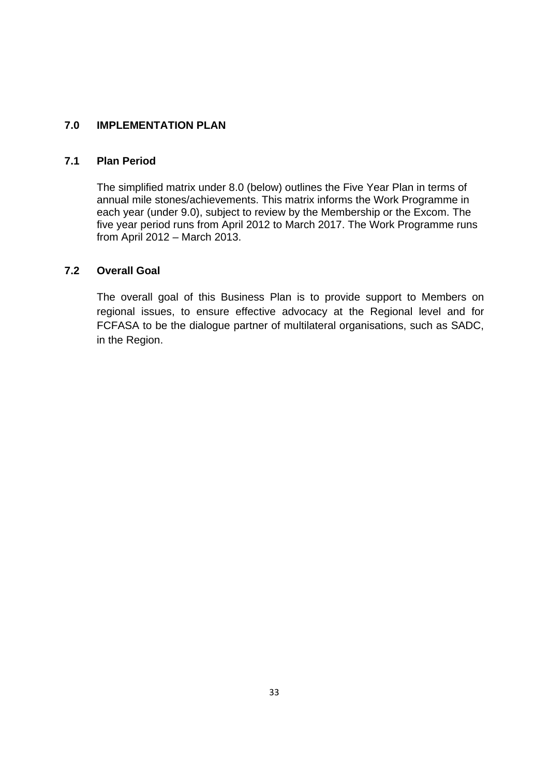### **7.0 IMPLEMENTATION PLAN**

### **7.1 Plan Period**

The simplified matrix under 8.0 (below) outlines the Five Year Plan in terms of annual mile stones/achievements. This matrix informs the Work Programme in each year (under 9.0), subject to review by the Membership or the Excom. The five year period runs from April 2012 to March 2017. The Work Programme runs from April 2012 – March 2013.

### **7.2 Overall Goal**

The overall goal of this Business Plan is to provide support to Members on regional issues, to ensure effective advocacy at the Regional level and for FCFASA to be the dialogue partner of multilateral organisations, such as SADC, in the Region.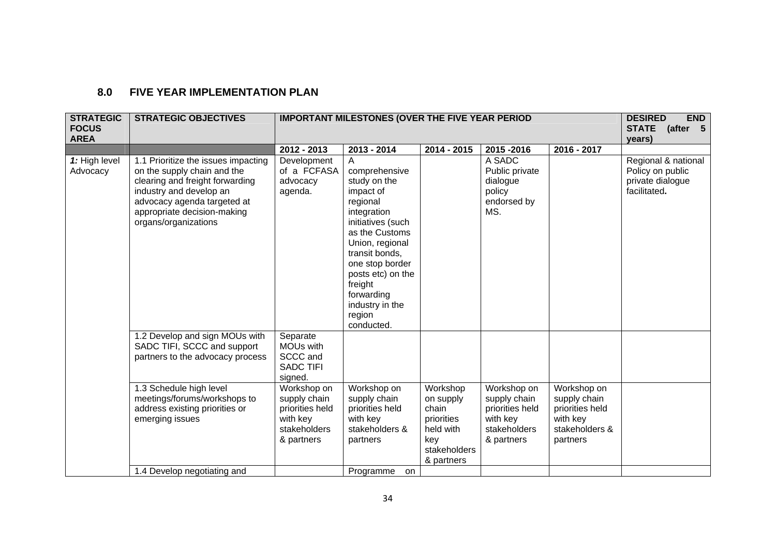#### **8.0 FIVE YEAR IMPLEMENTATION PLAN**

| <b>STRATEGIC</b><br><b>FOCUS</b><br><b>AREA</b> | <b>STRATEGIC OBJECTIVES</b>                                                                                                                                                                                            |                                                                                          | <b>IMPORTANT MILESTONES (OVER THE FIVE YEAR PERIOD</b>                                                                                                                                                                                                             |                                                                                                |                                                                                          |                                                                                          | <b>DESIRED</b><br><b>END</b><br>STATE (after 5<br>years)                    |
|-------------------------------------------------|------------------------------------------------------------------------------------------------------------------------------------------------------------------------------------------------------------------------|------------------------------------------------------------------------------------------|--------------------------------------------------------------------------------------------------------------------------------------------------------------------------------------------------------------------------------------------------------------------|------------------------------------------------------------------------------------------------|------------------------------------------------------------------------------------------|------------------------------------------------------------------------------------------|-----------------------------------------------------------------------------|
|                                                 |                                                                                                                                                                                                                        | 2012 - 2013                                                                              | 2013 - 2014                                                                                                                                                                                                                                                        | 2014 - 2015                                                                                    | 2015-2016                                                                                | 2016 - 2017                                                                              |                                                                             |
| 1: High level<br>Advocacy                       | 1.1 Prioritize the issues impacting<br>on the supply chain and the<br>clearing and freight forwarding<br>industry and develop an<br>advocacy agenda targeted at<br>appropriate decision-making<br>organs/organizations | Development<br>of a FCFASA<br>advocacy<br>agenda.                                        | A<br>comprehensive<br>study on the<br>impact of<br>regional<br>integration<br>initiatives (such<br>as the Customs<br>Union, regional<br>transit bonds,<br>one stop border<br>posts etc) on the<br>freight<br>forwarding<br>industry in the<br>region<br>conducted. |                                                                                                | A SADC<br>Public private<br>dialogue<br>policy<br>endorsed by<br>MS.                     |                                                                                          | Regional & national<br>Policy on public<br>private dialogue<br>facilitated. |
|                                                 | 1.2 Develop and sign MOUs with<br>SADC TIFI, SCCC and support<br>partners to the advocacy process                                                                                                                      | Separate<br>MOUs with<br>SCCC and<br><b>SADC TIFI</b><br>signed.                         |                                                                                                                                                                                                                                                                    |                                                                                                |                                                                                          |                                                                                          |                                                                             |
|                                                 | 1.3 Schedule high level<br>meetings/forums/workshops to<br>address existing priorities or<br>emerging issues                                                                                                           | Workshop on<br>supply chain<br>priorities held<br>with key<br>stakeholders<br>& partners | Workshop on<br>supply chain<br>priorities held<br>with key<br>stakeholders &<br>partners                                                                                                                                                                           | Workshop<br>on supply<br>chain<br>priorities<br>held with<br>kev<br>stakeholders<br>& partners | Workshop on<br>supply chain<br>priorities held<br>with key<br>stakeholders<br>& partners | Workshop on<br>supply chain<br>priorities held<br>with key<br>stakeholders &<br>partners |                                                                             |
|                                                 | 1.4 Develop negotiating and                                                                                                                                                                                            |                                                                                          | Programme<br>on.                                                                                                                                                                                                                                                   |                                                                                                |                                                                                          |                                                                                          |                                                                             |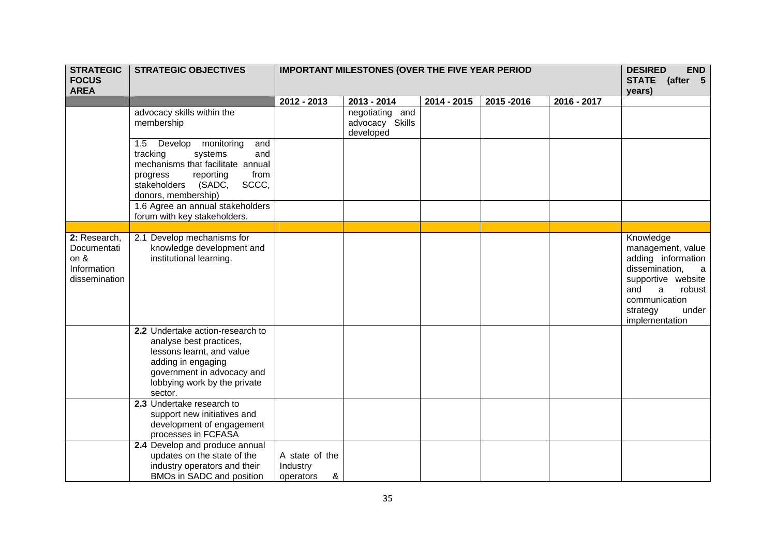| <b>STRATEGIC</b><br><b>FOCUS</b><br><b>AREA</b>                     | <b>STRATEGIC OBJECTIVES</b>                                                                                                                                                                 | <b>IMPORTANT MILESTONES (OVER THE FIVE YEAR PERIOD</b> |                                                 | <b>END</b><br><b>DESIRED</b><br>STATE (after 5<br>years) |           |             |                                                                                                                                                                                            |
|---------------------------------------------------------------------|---------------------------------------------------------------------------------------------------------------------------------------------------------------------------------------------|--------------------------------------------------------|-------------------------------------------------|----------------------------------------------------------|-----------|-------------|--------------------------------------------------------------------------------------------------------------------------------------------------------------------------------------------|
|                                                                     |                                                                                                                                                                                             | 2012 - 2013                                            | 2013 - 2014                                     | 2014 - 2015                                              | 2015-2016 | 2016 - 2017 |                                                                                                                                                                                            |
|                                                                     | advocacy skills within the<br>membership                                                                                                                                                    |                                                        | negotiating and<br>advocacy Skills<br>developed |                                                          |           |             |                                                                                                                                                                                            |
|                                                                     | 1.5 Develop<br>monitoring<br>and<br>tracking<br>systems<br>and<br>mechanisms that facilitate annual<br>reporting<br>from<br>progress<br>SCCC,<br>stakeholders (SADC,<br>donors, membership) |                                                        |                                                 |                                                          |           |             |                                                                                                                                                                                            |
|                                                                     | 1.6 Agree an annual stakeholders<br>forum with key stakeholders.                                                                                                                            |                                                        |                                                 |                                                          |           |             |                                                                                                                                                                                            |
|                                                                     |                                                                                                                                                                                             |                                                        |                                                 |                                                          |           |             |                                                                                                                                                                                            |
| 2: Research,<br>Documentati<br>on &<br>Information<br>dissemination | 2.1 Develop mechanisms for<br>knowledge development and<br>institutional learning.                                                                                                          |                                                        |                                                 |                                                          |           |             | Knowledge<br>management, value<br>adding information<br>dissemination,<br>a<br>supportive website<br>and<br>$\mathsf{a}$<br>robust<br>communication<br>strategy<br>under<br>implementation |
|                                                                     | 2.2 Undertake action-research to<br>analyse best practices,<br>lessons learnt, and value<br>adding in engaging<br>government in advocacy and<br>lobbying work by the private<br>sector.     |                                                        |                                                 |                                                          |           |             |                                                                                                                                                                                            |
|                                                                     | 2.3 Undertake research to<br>support new initiatives and<br>development of engagement<br>processes in FCFASA                                                                                |                                                        |                                                 |                                                          |           |             |                                                                                                                                                                                            |
|                                                                     | 2.4 Develop and produce annual<br>updates on the state of the<br>industry operators and their<br>BMOs in SADC and position                                                                  | A state of the<br>Industry<br>&<br>operators           |                                                 |                                                          |           |             |                                                                                                                                                                                            |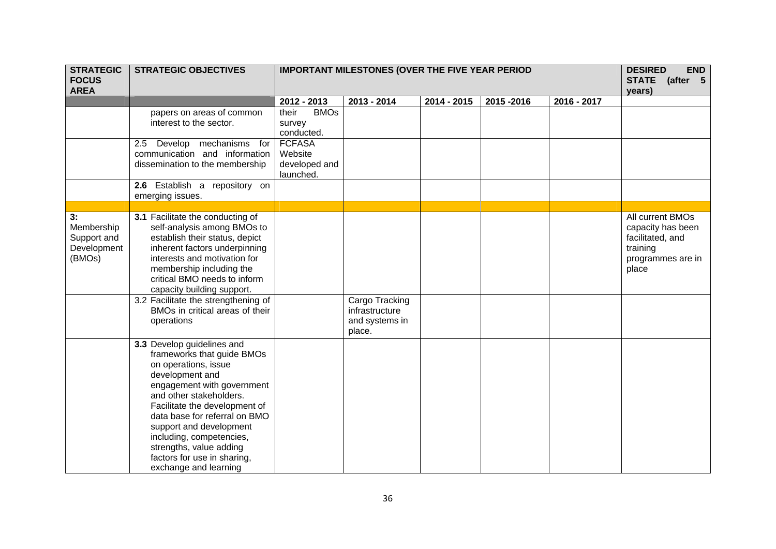| <b>STRATEGIC</b><br><b>FOCUS</b><br><b>AREA</b>          | <b>STRATEGIC OBJECTIVES</b>                                                                                                                                                                                                                                                                                                                                              | <b>IMPORTANT MILESTONES (OVER THE FIVE YEAR PERIOD</b> |                                                              | <b>DESIRED</b><br><b>END</b><br>STATE (after 5<br>years) |           |               |                                                                                                     |
|----------------------------------------------------------|--------------------------------------------------------------------------------------------------------------------------------------------------------------------------------------------------------------------------------------------------------------------------------------------------------------------------------------------------------------------------|--------------------------------------------------------|--------------------------------------------------------------|----------------------------------------------------------|-----------|---------------|-----------------------------------------------------------------------------------------------------|
|                                                          |                                                                                                                                                                                                                                                                                                                                                                          | 2012 - 2013                                            | 2013 - 2014                                                  | 2014 - 2015                                              | 2015-2016 | $2016 - 2017$ |                                                                                                     |
|                                                          | papers on areas of common<br>interest to the sector.                                                                                                                                                                                                                                                                                                                     | <b>BMOs</b><br>their<br>survey<br>conducted.           |                                                              |                                                          |           |               |                                                                                                     |
|                                                          | Develop mechanisms<br>for<br>2.5<br>communication and information<br>dissemination to the membership                                                                                                                                                                                                                                                                     | <b>FCFASA</b><br>Website<br>developed and<br>launched. |                                                              |                                                          |           |               |                                                                                                     |
|                                                          | 2.6 Establish a repository on<br>emerging issues.                                                                                                                                                                                                                                                                                                                        |                                                        |                                                              |                                                          |           |               |                                                                                                     |
|                                                          |                                                                                                                                                                                                                                                                                                                                                                          |                                                        |                                                              |                                                          |           |               |                                                                                                     |
| 3:<br>Membership<br>Support and<br>Development<br>(BMOs) | 3.1 Facilitate the conducting of<br>self-analysis among BMOs to<br>establish their status, depict<br>inherent factors underpinning<br>interests and motivation for<br>membership including the<br>critical BMO needs to inform<br>capacity building support.                                                                                                             |                                                        |                                                              |                                                          |           |               | All current BMOs<br>capacity has been<br>facilitated, and<br>training<br>programmes are in<br>place |
|                                                          | 3.2 Facilitate the strengthening of<br>BMOs in critical areas of their<br>operations                                                                                                                                                                                                                                                                                     |                                                        | Cargo Tracking<br>infrastructure<br>and systems in<br>place. |                                                          |           |               |                                                                                                     |
|                                                          | 3.3 Develop guidelines and<br>frameworks that guide BMOs<br>on operations, issue<br>development and<br>engagement with government<br>and other stakeholders.<br>Facilitate the development of<br>data base for referral on BMO<br>support and development<br>including, competencies,<br>strengths, value adding<br>factors for use in sharing,<br>exchange and learning |                                                        |                                                              |                                                          |           |               |                                                                                                     |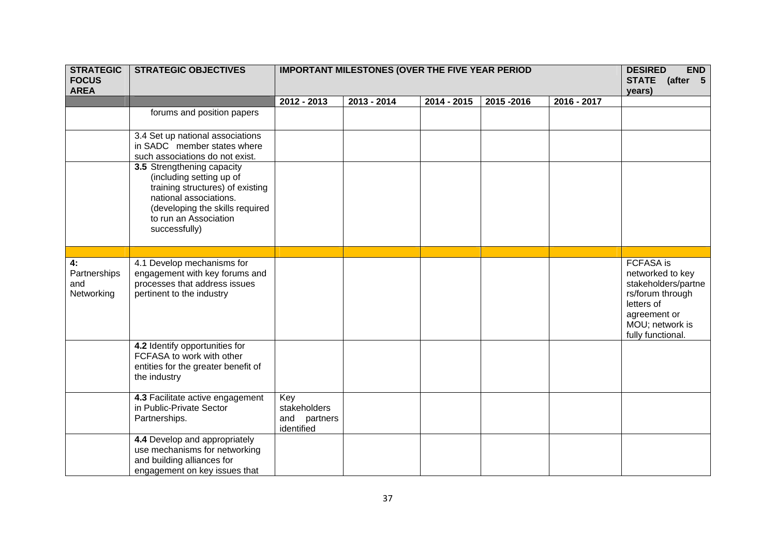| <b>STRATEGIC</b><br><b>FOCUS</b><br><b>AREA</b> | <b>STRATEGIC OBJECTIVES</b>                                                                                                                                                                       |                                                   | <b>IMPORTANT MILESTONES (OVER THE FIVE YEAR PERIOD</b> |             |           |             |                                                                                                                                                       |  |  |  |  |
|-------------------------------------------------|---------------------------------------------------------------------------------------------------------------------------------------------------------------------------------------------------|---------------------------------------------------|--------------------------------------------------------|-------------|-----------|-------------|-------------------------------------------------------------------------------------------------------------------------------------------------------|--|--|--|--|
|                                                 |                                                                                                                                                                                                   | 2012 - 2013                                       | 2013 - 2014                                            | 2014 - 2015 | 2015-2016 | 2016 - 2017 |                                                                                                                                                       |  |  |  |  |
|                                                 | forums and position papers                                                                                                                                                                        |                                                   |                                                        |             |           |             |                                                                                                                                                       |  |  |  |  |
|                                                 | 3.4 Set up national associations<br>in SADC member states where<br>such associations do not exist.                                                                                                |                                                   |                                                        |             |           |             |                                                                                                                                                       |  |  |  |  |
|                                                 | 3.5 Strengthening capacity<br>(including setting up of<br>training structures) of existing<br>national associations.<br>(developing the skills required<br>to run an Association<br>successfully) |                                                   |                                                        |             |           |             |                                                                                                                                                       |  |  |  |  |
|                                                 |                                                                                                                                                                                                   |                                                   |                                                        |             |           |             |                                                                                                                                                       |  |  |  |  |
| 4:<br>Partnerships<br>and<br>Networking         | 4.1 Develop mechanisms for<br>engagement with key forums and<br>processes that address issues<br>pertinent to the industry                                                                        |                                                   |                                                        |             |           |             | <b>FCFASA</b> is<br>networked to key<br>stakeholders/partne<br>rs/forum through<br>letters of<br>agreement or<br>MOU; network is<br>fully functional. |  |  |  |  |
|                                                 | 4.2 Identify opportunities for<br>FCFASA to work with other<br>entities for the greater benefit of<br>the industry                                                                                |                                                   |                                                        |             |           |             |                                                                                                                                                       |  |  |  |  |
|                                                 | 4.3 Facilitate active engagement<br>in Public-Private Sector<br>Partnerships.                                                                                                                     | Key<br>stakeholders<br>and partners<br>identified |                                                        |             |           |             |                                                                                                                                                       |  |  |  |  |
|                                                 | 4.4 Develop and appropriately<br>use mechanisms for networking<br>and building alliances for<br>engagement on key issues that                                                                     |                                                   |                                                        |             |           |             |                                                                                                                                                       |  |  |  |  |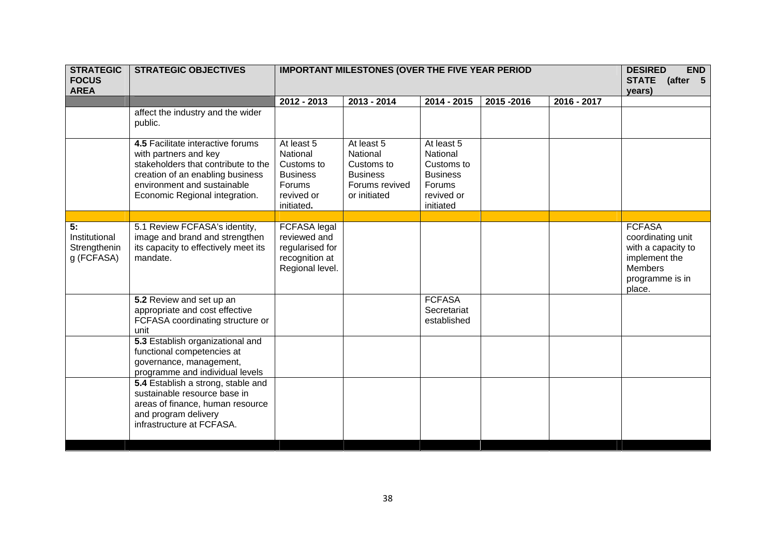| <b>STRATEGIC</b><br><b>FOCUS</b><br><b>AREA</b>   | <b>STRATEGIC OBJECTIVES</b>                                                                                                                                                                            | <b>IMPORTANT MILESTONES (OVER THE FIVE YEAR PERIOD</b>                                        |                                                                                           | <b>END</b><br><b>DESIRED</b><br>STATE (after 5<br>years)                                     |           |             |                                                                                                                   |
|---------------------------------------------------|--------------------------------------------------------------------------------------------------------------------------------------------------------------------------------------------------------|-----------------------------------------------------------------------------------------------|-------------------------------------------------------------------------------------------|----------------------------------------------------------------------------------------------|-----------|-------------|-------------------------------------------------------------------------------------------------------------------|
|                                                   |                                                                                                                                                                                                        | 2012 - 2013                                                                                   | 2013 - 2014                                                                               | 2014 - 2015                                                                                  | 2015-2016 | 2016 - 2017 |                                                                                                                   |
|                                                   | affect the industry and the wider<br>public.                                                                                                                                                           |                                                                                               |                                                                                           |                                                                                              |           |             |                                                                                                                   |
|                                                   | 4.5 Facilitate interactive forums<br>with partners and key<br>stakeholders that contribute to the<br>creation of an enabling business<br>environment and sustainable<br>Economic Regional integration. | At least 5<br>National<br>Customs to<br><b>Business</b><br>Forums<br>revived or<br>initiated. | At least 5<br>National<br>Customs to<br><b>Business</b><br>Forums revived<br>or initiated | At least 5<br>National<br>Customs to<br><b>Business</b><br>Forums<br>revived or<br>initiated |           |             |                                                                                                                   |
|                                                   |                                                                                                                                                                                                        |                                                                                               |                                                                                           |                                                                                              |           |             |                                                                                                                   |
| 5:<br>Institutional<br>Strengthenin<br>g (FCFASA) | 5.1 Review FCFASA's identity,<br>image and brand and strengthen<br>its capacity to effectively meet its<br>mandate.                                                                                    | FCFASA legal<br>reviewed and<br>regularised for<br>recognition at<br>Regional level.          |                                                                                           |                                                                                              |           |             | <b>FCFASA</b><br>coordinating unit<br>with a capacity to<br>implement the<br>Members<br>programme is in<br>place. |
|                                                   | 5.2 Review and set up an<br>appropriate and cost effective<br>FCFASA coordinating structure or<br>unit                                                                                                 |                                                                                               |                                                                                           | <b>FCFASA</b><br>Secretariat<br>established                                                  |           |             |                                                                                                                   |
|                                                   | 5.3 Establish organizational and<br>functional competencies at<br>governance, management,<br>programme and individual levels                                                                           |                                                                                               |                                                                                           |                                                                                              |           |             |                                                                                                                   |
|                                                   | 5.4 Establish a strong, stable and<br>sustainable resource base in<br>areas of finance, human resource<br>and program delivery<br>infrastructure at FCFASA.                                            |                                                                                               |                                                                                           |                                                                                              |           |             |                                                                                                                   |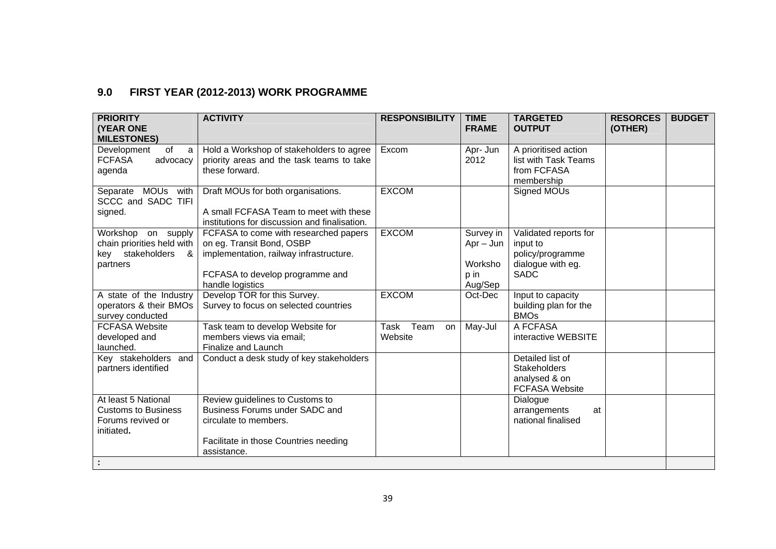## **9.0 FIRST YEAR (2012-2013) WORK PROGRAMME**

| <b>PRIORITY</b><br><b>(YEAR ONE</b>                                                     | <b>ACTIVITY</b>                                                                                                                                                      | <b>RESPONSIBILITY</b>         | <b>TIME</b><br><b>FRAME</b>                            | <b>TARGETED</b><br><b>OUTPUT</b>                                                          | <b>RESORCES</b><br>(OTHER) | <b>BUDGET</b> |
|-----------------------------------------------------------------------------------------|----------------------------------------------------------------------------------------------------------------------------------------------------------------------|-------------------------------|--------------------------------------------------------|-------------------------------------------------------------------------------------------|----------------------------|---------------|
| <b>MILESTONES)</b><br>of<br>Development<br>a<br><b>FCFASA</b><br>advocacy<br>agenda     | Hold a Workshop of stakeholders to agree<br>priority areas and the task teams to take<br>these forward.                                                              | Excom                         | Apr- Jun<br>2012                                       | A prioritised action<br>list with Task Teams<br>from FCFASA<br>membership                 |                            |               |
| Separate MOUs with<br>SCCC and SADC TIFI<br>signed.                                     | Draft MOUs for both organisations.<br>A small FCFASA Team to meet with these<br>institutions for discussion and finalisation.                                        | <b>EXCOM</b>                  |                                                        | Signed MOUs                                                                               |                            |               |
| Workshop on supply<br>chain priorities held with<br>key stakeholders<br>- &<br>partners | FCFASA to come with researched papers<br>on eg. Transit Bond, OSBP<br>implementation, railway infrastructure.<br>FCFASA to develop programme and<br>handle logistics | <b>EXCOM</b>                  | Survey in<br>$Apr - Jun$<br>Worksho<br>p in<br>Aug/Sep | Validated reports for<br>input to<br>policy/programme<br>dialogue with eg.<br><b>SADC</b> |                            |               |
| A state of the Industry<br>operators & their BMOs<br>survey conducted                   | Develop TOR for this Survey.<br>Survey to focus on selected countries                                                                                                | <b>EXCOM</b>                  | Oct-Dec                                                | Input to capacity<br>building plan for the<br><b>BMOs</b>                                 |                            |               |
| <b>FCFASA Website</b><br>developed and<br>launched.                                     | Task team to develop Website for<br>members views via email;<br>Finalize and Launch                                                                                  | Team<br>Task<br>on<br>Website | May-Jul                                                | A FCFASA<br>interactive WEBSITE                                                           |                            |               |
| Key stakeholders and<br>partners identified                                             | Conduct a desk study of key stakeholders                                                                                                                             |                               |                                                        | Detailed list of<br><b>Stakeholders</b><br>analysed & on<br><b>FCFASA Website</b>         |                            |               |
| At least 5 National<br><b>Customs to Business</b><br>Forums revived or<br>initiated.    | Review guidelines to Customs to<br>Business Forums under SADC and<br>circulate to members.<br>Facilitate in those Countries needing<br>assistance.                   |                               |                                                        | Dialogue<br>arrangements<br>at<br>national finalised                                      |                            |               |
|                                                                                         |                                                                                                                                                                      |                               |                                                        |                                                                                           |                            |               |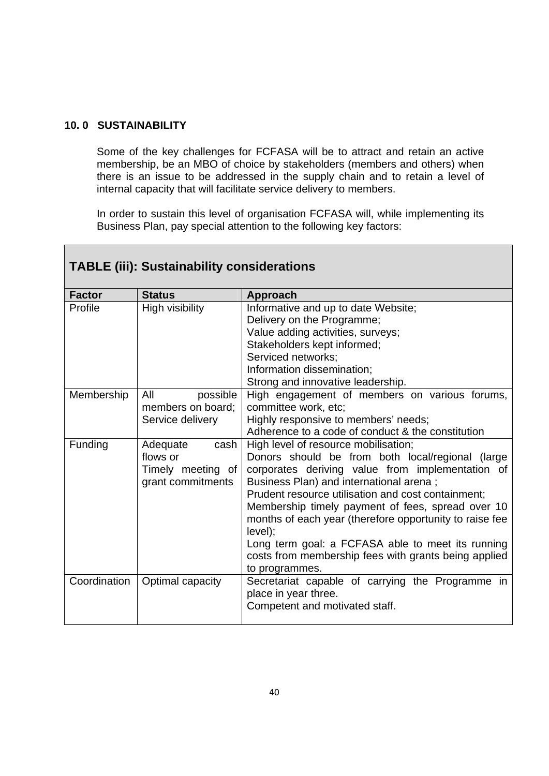### **10. 0 SUSTAINABILITY**

Г

Some of the key challenges for FCFASA will be to attract and retain an active membership, be an MBO of choice by stakeholders (members and others) when there is an issue to be addressed in the supply chain and to retain a level of internal capacity that will facilitate service delivery to members.

In order to sustain this level of organisation FCFASA will, while implementing its Business Plan, pay special attention to the following key factors:

|               | <b>TABLE (iii): Sustainability considerations</b>                      |                                                                                                                                                                                                                                                                                                                                                                                                                                                                                                         |  |  |  |  |  |  |  |
|---------------|------------------------------------------------------------------------|---------------------------------------------------------------------------------------------------------------------------------------------------------------------------------------------------------------------------------------------------------------------------------------------------------------------------------------------------------------------------------------------------------------------------------------------------------------------------------------------------------|--|--|--|--|--|--|--|
| <b>Factor</b> | <b>Status</b>                                                          | <b>Approach</b>                                                                                                                                                                                                                                                                                                                                                                                                                                                                                         |  |  |  |  |  |  |  |
| Profile       | High visibility                                                        | Informative and up to date Website;<br>Delivery on the Programme;<br>Value adding activities, surveys;<br>Stakeholders kept informed;<br>Serviced networks;<br>Information dissemination;<br>Strong and innovative leadership.                                                                                                                                                                                                                                                                          |  |  |  |  |  |  |  |
| Membership    | All<br>possible<br>members on board;<br>Service delivery               | High engagement of members on various forums,<br>committee work, etc;<br>Highly responsive to members' needs;<br>Adherence to a code of conduct & the constitution                                                                                                                                                                                                                                                                                                                                      |  |  |  |  |  |  |  |
| Funding       | Adequate<br>cash<br>flows or<br>Timely meeting of<br>grant commitments | High level of resource mobilisation;<br>Donors should be from both local/regional (large<br>corporates deriving value from implementation of<br>Business Plan) and international arena;<br>Prudent resource utilisation and cost containment;<br>Membership timely payment of fees, spread over 10<br>months of each year (therefore opportunity to raise fee<br>level);<br>Long term goal: a FCFASA able to meet its running<br>costs from membership fees with grants being applied<br>to programmes. |  |  |  |  |  |  |  |
| Coordination  | Optimal capacity                                                       | Secretariat capable of carrying the Programme in<br>place in year three.<br>Competent and motivated staff.                                                                                                                                                                                                                                                                                                                                                                                              |  |  |  |  |  |  |  |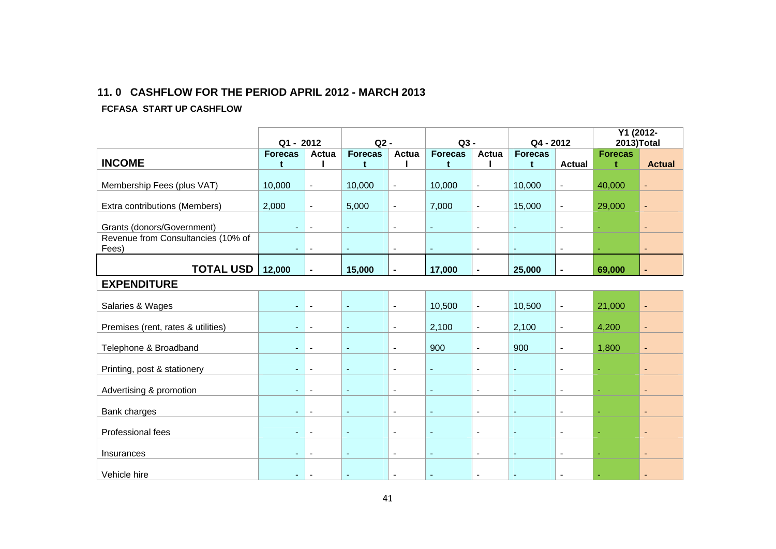#### **11. 0 CASHFLOW FOR THE PERIOD APRIL 2012 - MARCH 2013**

#### **FCFASA START UP CASHFLOW**

|                                    |                |                          |                |                              |                       |                          |                          |                          | Y1 (2012-      |                |
|------------------------------------|----------------|--------------------------|----------------|------------------------------|-----------------------|--------------------------|--------------------------|--------------------------|----------------|----------------|
|                                    | Q1 - 2012      |                          | $Q2 -$         |                              | $Q3 -$                |                          | Q4 - 2012                |                          | 2013)Total     |                |
|                                    | <b>Forecas</b> | Actua                    | <b>Forecas</b> | Actua                        | <b>Forecas</b>        | Actua                    | <b>Forecas</b>           |                          | <b>Forecas</b> |                |
| <b>INCOME</b>                      | t              |                          | t              |                              | t                     |                          | t                        | <b>Actual</b>            | t              | <b>Actual</b>  |
|                                    |                |                          |                |                              |                       |                          |                          |                          |                |                |
| Membership Fees (plus VAT)         | 10,000         | $\blacksquare$           | 10,000         | $\blacksquare$               | 10,000                | $\blacksquare$           | 10,000                   | $\blacksquare$           | 40,000         | $\blacksquare$ |
|                                    |                |                          |                |                              |                       |                          |                          |                          |                |                |
| Extra contributions (Members)      | 2,000          | $\blacksquare$           | 5,000          | $\blacksquare$               | 7,000                 | $\overline{\phantom{a}}$ | 15,000                   | $\blacksquare$           | 29,000         | $\blacksquare$ |
|                                    |                |                          |                |                              |                       |                          |                          |                          |                |                |
| Grants (donors/Government)         |                | $\overline{\phantom{0}}$ | $\blacksquare$ | $\blacksquare$               | $\tilde{\phantom{a}}$ | $\blacksquare$           | $\overline{\phantom{a}}$ | $\overline{\phantom{a}}$ |                | $\blacksquare$ |
| Revenue from Consultancies (10% of |                |                          |                |                              |                       |                          |                          |                          |                |                |
| Fees)                              | $\sim$         | $\blacksquare$           | $\blacksquare$ | $\blacksquare$               | $\blacksquare$        | $\overline{\phantom{a}}$ | $\blacksquare$           | $\blacksquare$           | ÷              | $\blacksquare$ |
|                                    |                |                          |                |                              |                       |                          |                          |                          |                |                |
| <b>TOTAL USD</b>                   | 12,000         | $\blacksquare$           | 15,000         |                              | 17,000                | $\blacksquare$           | 25,000                   | $\blacksquare$           | 69,000         |                |
| <b>EXPENDITURE</b>                 |                |                          |                |                              |                       |                          |                          |                          |                |                |
|                                    |                |                          |                |                              |                       |                          |                          |                          |                |                |
| Salaries & Wages                   |                |                          | $\blacksquare$ | $\overline{\phantom{a}}$     | 10,500                | $\blacksquare$           | 10,500                   | $\blacksquare$           | 21,000         | $\blacksquare$ |
|                                    |                |                          |                |                              |                       |                          |                          |                          |                |                |
| Premises (rent, rates & utilities) | ٠              | $\overline{\phantom{a}}$ | $\blacksquare$ | $\blacksquare$               | 2,100                 | $\overline{\phantom{a}}$ | 2,100                    | $\blacksquare$           | 4,200          | $\blacksquare$ |
|                                    |                |                          |                |                              |                       |                          |                          |                          |                |                |
| Telephone & Broadband              |                | $\blacksquare$           | $\blacksquare$ | $\overline{\phantom{a}}$     | 900                   | $\blacksquare$           | 900                      | $\blacksquare$           | 1,800          | $\blacksquare$ |
|                                    |                |                          |                |                              |                       |                          |                          |                          |                |                |
| Printing, post & stationery        |                | $\overline{\phantom{a}}$ | $\blacksquare$ | $\qquad \qquad \blacksquare$ | ÷,                    | $\overline{\phantom{a}}$ | ÷                        | $\overline{\phantom{a}}$ | ÷,             | $\blacksquare$ |
|                                    |                |                          |                |                              |                       |                          |                          |                          |                |                |
| Advertising & promotion            |                | $\blacksquare$           | $\blacksquare$ | $\blacksquare$               | $\tilde{\phantom{a}}$ | $\blacksquare$           | $\blacksquare$           | $\blacksquare$           | ω.             | $\blacksquare$ |
|                                    |                |                          |                |                              |                       |                          |                          |                          |                |                |
| Bank charges                       |                | $\blacksquare$           | $\sim$         | $\overline{\phantom{a}}$     | $\sim$                | $\blacksquare$           | L,                       | $\overline{\phantom{a}}$ | ä,             | $\blacksquare$ |
|                                    |                |                          |                |                              |                       |                          |                          |                          |                |                |
| Professional fees                  | $\sim$         | $\overline{\phantom{a}}$ | $\blacksquare$ | $\blacksquare$               | $\blacksquare$        | $\blacksquare$           | $\blacksquare$           | $\blacksquare$           | ω.             | $\blacksquare$ |
|                                    |                |                          |                |                              |                       |                          |                          |                          |                |                |
| Insurances                         |                |                          | $\blacksquare$ | $\qquad \qquad \blacksquare$ | $\blacksquare$        | $\blacksquare$           |                          | $\blacksquare$           | ä,             | $\blacksquare$ |
|                                    |                |                          |                |                              |                       |                          |                          |                          |                |                |
| Vehicle hire                       |                | $\blacksquare$           | $\blacksquare$ | $\blacksquare$               | $\blacksquare$        | $\blacksquare$           | $\blacksquare$           | $\blacksquare$           |                | $\blacksquare$ |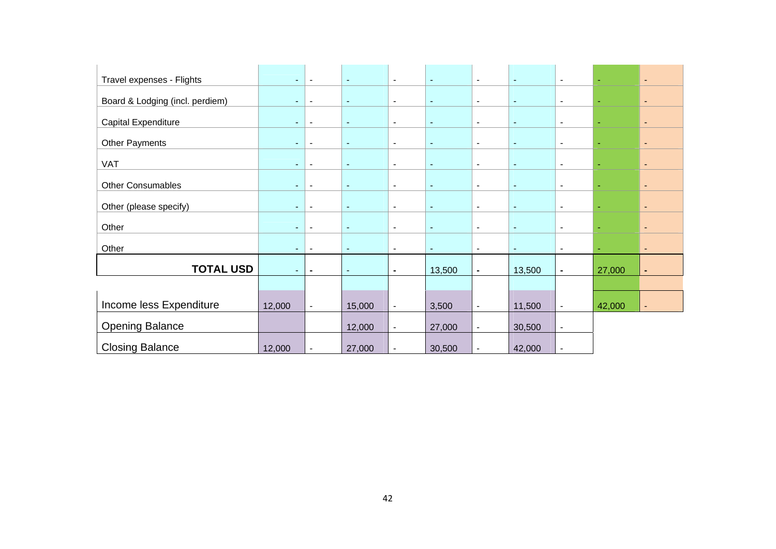| Travel expenses - Flights       | $\sim$         | $\blacksquare$           | $\blacksquare$ | $\sim$                   | $\blacksquare$ | $\blacksquare$           | $\blacksquare$ | $\overline{\phantom{a}}$ | $\blacksquare$ | $\blacksquare$           |
|---------------------------------|----------------|--------------------------|----------------|--------------------------|----------------|--------------------------|----------------|--------------------------|----------------|--------------------------|
| Board & Lodging (incl. perdiem) | $\sim$         | $\blacksquare$           | $\blacksquare$ | $\blacksquare$           | $\sim$         | $\blacksquare$           | $\blacksquare$ | $\blacksquare$           | ä,             | $\blacksquare$           |
| Capital Expenditure             | $\sim$         | $\blacksquare$           | $\blacksquare$ | $\blacksquare$           | $\blacksquare$ | $\blacksquare$           | $\blacksquare$ | $\overline{\phantom{a}}$ | ÷              | $\blacksquare$           |
| <b>Other Payments</b>           | $\sim$         | $\overline{\phantom{a}}$ | $\blacksquare$ | $\blacksquare$           | $\blacksquare$ | $\overline{\phantom{a}}$ | $\blacksquare$ | $\overline{\phantom{a}}$ | ÷,             | $\blacksquare$           |
| <b>VAT</b>                      | ٠              | $\overline{\phantom{a}}$ | $\sim$         | $\blacksquare$           | $\blacksquare$ | $\blacksquare$           | $\blacksquare$ | $\blacksquare$           |                | $\blacksquare$           |
| Other Consumables               | $\sim$         | $\overline{\phantom{a}}$ | $\blacksquare$ | $\blacksquare$           | $\blacksquare$ | $\blacksquare$           | $\sim$         | $\blacksquare$           | $\sim$         | $\blacksquare$           |
| Other (please specify)          | $\sim$         | $\blacksquare$           | $\blacksquare$ | $\blacksquare$           | $\blacksquare$ | $\blacksquare$           | $\blacksquare$ | $\overline{\phantom{a}}$ |                | $\overline{\phantom{0}}$ |
| Other                           | $\sim$         | $\blacksquare$           | $\blacksquare$ | $\blacksquare$           | $\blacksquare$ | $\blacksquare$           | $\sim$         | $\overline{\phantom{a}}$ | $\sim$         | $\blacksquare$           |
| Other                           | $\blacksquare$ | $\overline{\phantom{a}}$ | $\blacksquare$ | $\blacksquare$           | $\blacksquare$ | $\blacksquare$           | $\blacksquare$ | $\overline{\phantom{a}}$ | ۰              | $\blacksquare$           |
| <b>TOTAL USD</b>                | $\sim$         | $\blacksquare$           | $\blacksquare$ | $\blacksquare$           | 13,500         | $\blacksquare$           | 13,500         | $\blacksquare$           | 27,000         | ٠                        |
|                                 |                |                          |                |                          |                |                          |                |                          |                |                          |
| Income less Expenditure         | 12,000         | $\blacksquare$           | 15,000         | $\blacksquare$           | 3,500          | $\overline{\phantom{a}}$ | 11,500         | $\blacksquare$           | 42,000         | $\blacksquare$           |
| <b>Opening Balance</b>          |                |                          | 12,000         | $\blacksquare$           | 27,000         | $\overline{\phantom{a}}$ | 30,500         | $\overline{\phantom{a}}$ |                |                          |
| <b>Closing Balance</b>          | 12,000         | $\blacksquare$           | 27,000         | $\overline{\phantom{a}}$ | 30,500         | $\overline{\phantom{a}}$ | 42,000         | $\blacksquare$           |                |                          |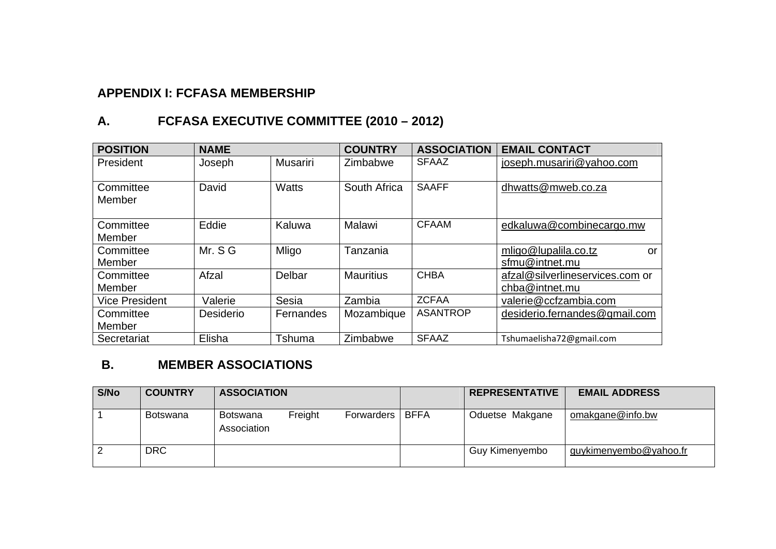### **APPENDIX I: FCFASA MEMBERSHIP**

# **A. FCFASA EXECUTIVE COMMITTEE (2010 – 2012)**

| <b>POSITION</b>       | <b>NAME</b> |                 | <b>COUNTRY</b>   | <b>ASSOCIATION</b> | <b>EMAIL CONTACT</b>                              |
|-----------------------|-------------|-----------------|------------------|--------------------|---------------------------------------------------|
| President             | Joseph      | <b>Musariri</b> | Zimbabwe         | <b>SFAAZ</b>       | joseph.musariri@yahoo.com                         |
| Committee<br>Member   | David       | <b>Watts</b>    | South Africa     | <b>SAAFF</b>       | dhwatts@mweb.co.za                                |
| Committee<br>Member   | Eddie       | Kaluwa          | Malawi           | <b>CFAAM</b>       | edkaluwa@combinecargo.mw                          |
| Committee<br>Member   | Mr. S G     | Mligo           | Tanzania         |                    | mligo@lupalila.co.tz<br>or<br>sfmu@intnet.mu      |
| Committee<br>Member   | Afzal       | Delbar          | <b>Mauritius</b> | <b>CHBA</b>        | afzal@silverlineservices.com or<br>chba@intnet.mu |
| <b>Vice President</b> | Valerie     | Sesia           | Zambia           | <b>ZCFAA</b>       | valerie@ccfzambia.com                             |
| Committee<br>Member   | Desiderio   | Fernandes       | Mozambique       | <b>ASANTROP</b>    | desiderio.fernandes@gmail.com                     |
| Secretariat           | Elisha      | Tshuma          | Zimbabwe         | <b>SFAAZ</b>       | Tshumaelisha72@gmail.com                          |

### **B. MEMBER ASSOCIATIONS**

| S/No | <b>COUNTRY</b>  | <b>ASSOCIATION</b>                                 |             | <b>REPRESENTATIVE</b> | <b>EMAIL ADDRESS</b>   |
|------|-----------------|----------------------------------------------------|-------------|-----------------------|------------------------|
|      | <b>Botswana</b> | Freight<br>Botswana<br>Forwarders I<br>Association | <b>BFFA</b> | Oduetse Makgane       | omakgane@info.bw       |
|      | <b>DRC</b>      |                                                    |             | Guy Kimenyembo        | guykimenyembo@yahoo.fr |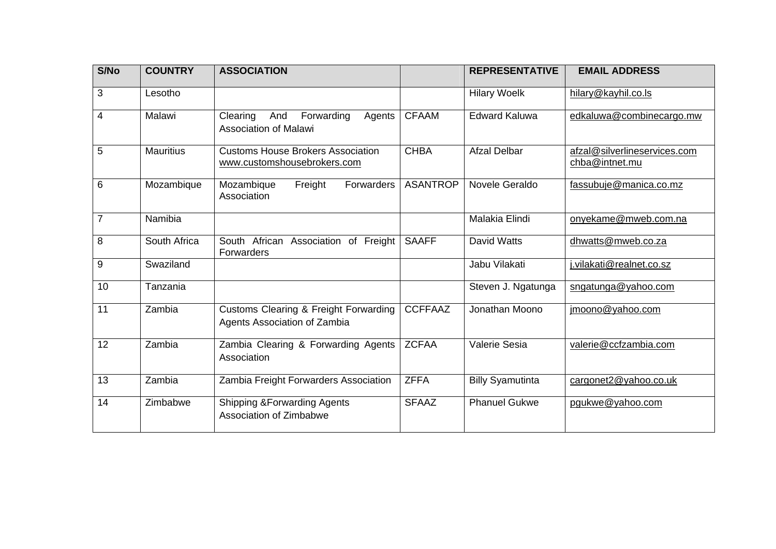| S/No             | <b>COUNTRY</b>   | <b>ASSOCIATION</b>                                                               |                 | <b>REPRESENTATIVE</b>   | <b>EMAIL ADDRESS</b>                           |
|------------------|------------------|----------------------------------------------------------------------------------|-----------------|-------------------------|------------------------------------------------|
| 3                | Lesotho          |                                                                                  |                 | <b>Hilary Woelk</b>     | hilary@kayhil.co.ls                            |
| $\overline{4}$   | Malawi           | Clearing<br>And<br>Forwarding<br>Agents<br><b>Association of Malawi</b>          | <b>CFAAM</b>    | <b>Edward Kaluwa</b>    | edkaluwa@combinecargo.mw                       |
| 5                | <b>Mauritius</b> | <b>Customs House Brokers Association</b><br>www.customshousebrokers.com          | <b>CHBA</b>     | <b>Afzal Delbar</b>     | afzal@silverlineservices.com<br>chba@intnet.mu |
| 6                | Mozambique       | Freight<br>Forwarders<br>Mozambique<br>Association                               | <b>ASANTROP</b> | Novele Geraldo          | fassubuje@manica.co.mz                         |
| 7                | Namibia          |                                                                                  |                 | Malakia Elindi          | onyekame@mweb.com.na                           |
| 8                | South Africa     | South African Association of Freight<br>Forwarders                               | <b>SAAFF</b>    | <b>David Watts</b>      | dhwatts@mweb.co.za                             |
| $\boldsymbol{9}$ | Swaziland        |                                                                                  |                 | Jabu Vilakati           | j.vilakati@realnet.co.sz                       |
| 10               | Tanzania         |                                                                                  |                 | Steven J. Ngatunga      | sngatunga@yahoo.com                            |
| 11               | Zambia           | <b>Customs Clearing &amp; Freight Forwarding</b><br>Agents Association of Zambia | <b>CCFFAAZ</b>  | Jonathan Moono          | jmoono@yahoo.com                               |
| 12               | Zambia           | Zambia Clearing & Forwarding Agents<br>Association                               | <b>ZCFAA</b>    | Valerie Sesia           | valerie@ccfzambia.com                          |
| 13               | Zambia           | Zambia Freight Forwarders Association                                            | <b>ZFFA</b>     | <b>Billy Syamutinta</b> | cargonet2@yahoo.co.uk                          |
| 14               | Zimbabwe         | <b>Shipping &amp; Forwarding Agents</b><br>Association of Zimbabwe               | <b>SFAAZ</b>    | <b>Phanuel Gukwe</b>    | pgukwe@yahoo.com                               |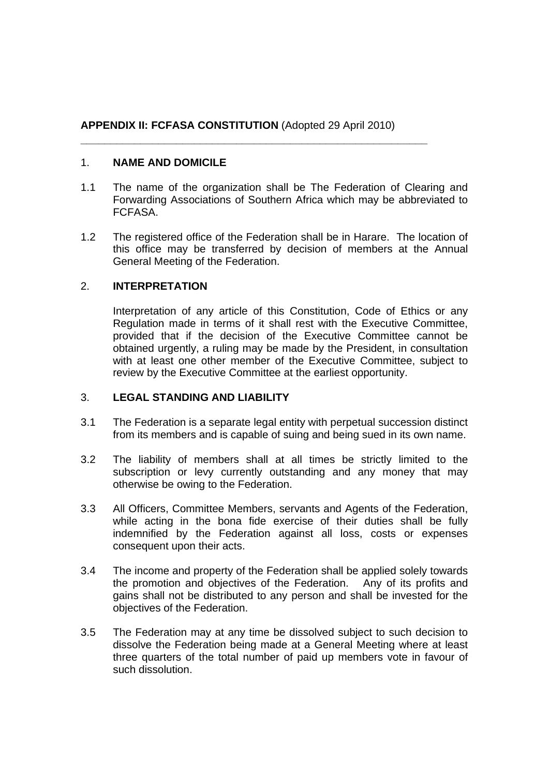### **APPENDIX II: FCFASA CONSTITUTION** (Adopted 29 April 2010)

**\_\_\_\_\_\_\_\_\_\_\_\_\_\_\_\_\_\_\_\_\_\_\_\_\_\_\_\_\_\_\_\_\_\_\_\_\_\_\_\_\_\_\_\_\_\_\_\_\_\_\_\_\_\_\_\_\_\_** 

### 1. **NAME AND DOMICILE**

- 1.1 The name of the organization shall be The Federation of Clearing and Forwarding Associations of Southern Africa which may be abbreviated to FCFASA.
- 1.2 The registered office of the Federation shall be in Harare. The location of this office may be transferred by decision of members at the Annual General Meeting of the Federation.

### 2. **INTERPRETATION**

Interpretation of any article of this Constitution, Code of Ethics or any Regulation made in terms of it shall rest with the Executive Committee, provided that if the decision of the Executive Committee cannot be obtained urgently, a ruling may be made by the President, in consultation with at least one other member of the Executive Committee, subject to review by the Executive Committee at the earliest opportunity.

### 3. **LEGAL STANDING AND LIABILITY**

- 3.1 The Federation is a separate legal entity with perpetual succession distinct from its members and is capable of suing and being sued in its own name.
- 3.2 The liability of members shall at all times be strictly limited to the subscription or levy currently outstanding and any money that may otherwise be owing to the Federation.
- 3.3 All Officers, Committee Members, servants and Agents of the Federation, while acting in the bona fide exercise of their duties shall be fully indemnified by the Federation against all loss, costs or expenses consequent upon their acts.
- 3.4 The income and property of the Federation shall be applied solely towards the promotion and objectives of the Federation. Any of its profits and gains shall not be distributed to any person and shall be invested for the objectives of the Federation.
- 3.5 The Federation may at any time be dissolved subject to such decision to dissolve the Federation being made at a General Meeting where at least three quarters of the total number of paid up members vote in favour of such dissolution.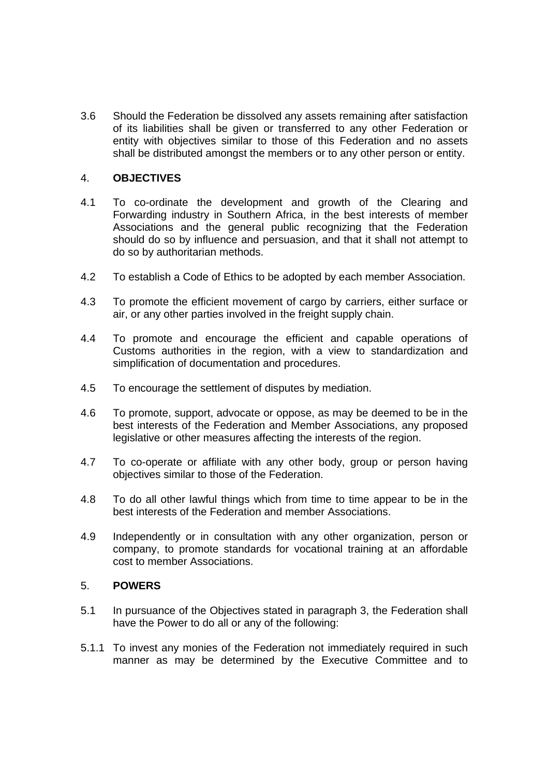3.6 Should the Federation be dissolved any assets remaining after satisfaction of its liabilities shall be given or transferred to any other Federation or entity with objectives similar to those of this Federation and no assets shall be distributed amongst the members or to any other person or entity.

### 4. **OBJECTIVES**

- 4.1 To co-ordinate the development and growth of the Clearing and Forwarding industry in Southern Africa, in the best interests of member Associations and the general public recognizing that the Federation should do so by influence and persuasion, and that it shall not attempt to do so by authoritarian methods.
- 4.2 To establish a Code of Ethics to be adopted by each member Association.
- 4.3 To promote the efficient movement of cargo by carriers, either surface or air, or any other parties involved in the freight supply chain.
- 4.4 To promote and encourage the efficient and capable operations of Customs authorities in the region, with a view to standardization and simplification of documentation and procedures.
- 4.5 To encourage the settlement of disputes by mediation.
- 4.6 To promote, support, advocate or oppose, as may be deemed to be in the best interests of the Federation and Member Associations, any proposed legislative or other measures affecting the interests of the region.
- 4.7 To co-operate or affiliate with any other body, group or person having objectives similar to those of the Federation.
- 4.8 To do all other lawful things which from time to time appear to be in the best interests of the Federation and member Associations.
- 4.9 Independently or in consultation with any other organization, person or company, to promote standards for vocational training at an affordable cost to member Associations.

### 5. **POWERS**

- 5.1 In pursuance of the Objectives stated in paragraph 3, the Federation shall have the Power to do all or any of the following:
- 5.1.1 To invest any monies of the Federation not immediately required in such manner as may be determined by the Executive Committee and to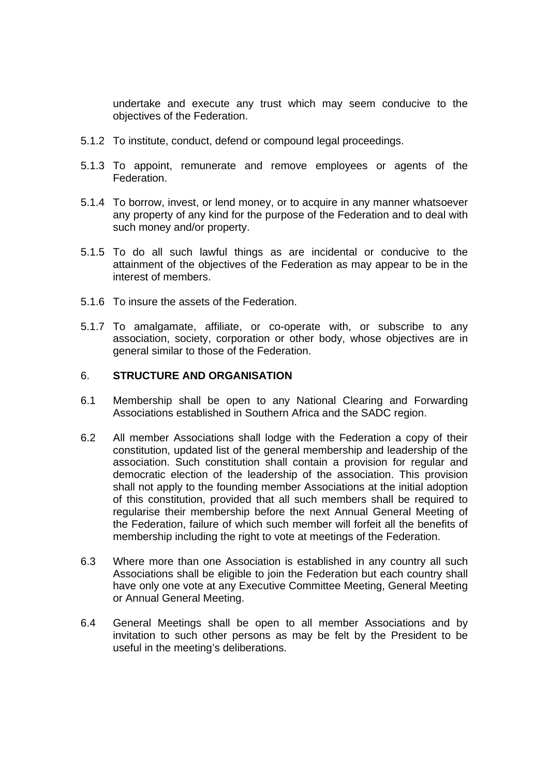undertake and execute any trust which may seem conducive to the objectives of the Federation.

- 5.1.2 To institute, conduct, defend or compound legal proceedings.
- 5.1.3 To appoint, remunerate and remove employees or agents of the Federation.
- 5.1.4 To borrow, invest, or lend money, or to acquire in any manner whatsoever any property of any kind for the purpose of the Federation and to deal with such money and/or property.
- 5.1.5 To do all such lawful things as are incidental or conducive to the attainment of the objectives of the Federation as may appear to be in the interest of members.
- 5.1.6 To insure the assets of the Federation.
- 5.1.7 To amalgamate, affiliate, or co-operate with, or subscribe to any association, society, corporation or other body, whose objectives are in general similar to those of the Federation.

#### 6. **STRUCTURE AND ORGANISATION**

- 6.1 Membership shall be open to any National Clearing and Forwarding Associations established in Southern Africa and the SADC region.
- 6.2 All member Associations shall lodge with the Federation a copy of their constitution, updated list of the general membership and leadership of the association. Such constitution shall contain a provision for regular and democratic election of the leadership of the association. This provision shall not apply to the founding member Associations at the initial adoption of this constitution, provided that all such members shall be required to regularise their membership before the next Annual General Meeting of the Federation, failure of which such member will forfeit all the benefits of membership including the right to vote at meetings of the Federation.
- 6.3 Where more than one Association is established in any country all such Associations shall be eligible to join the Federation but each country shall have only one vote at any Executive Committee Meeting, General Meeting or Annual General Meeting.
- 6.4 General Meetings shall be open to all member Associations and by invitation to such other persons as may be felt by the President to be useful in the meeting's deliberations.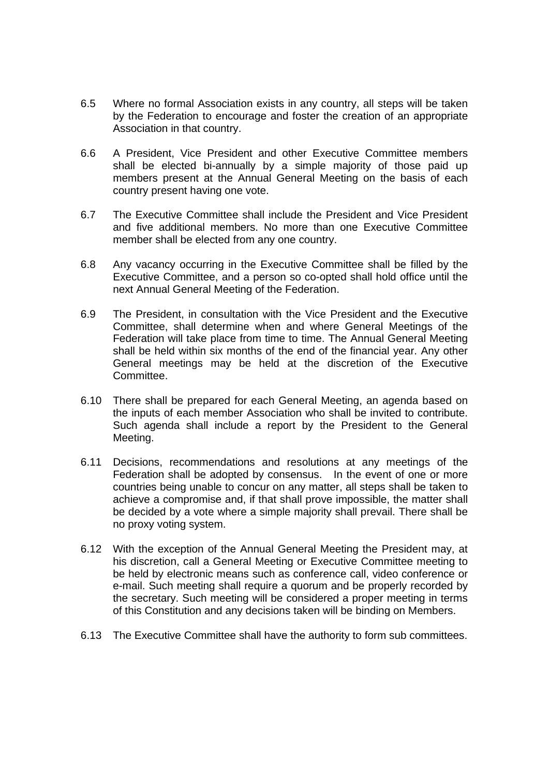- 6.5 Where no formal Association exists in any country, all steps will be taken by the Federation to encourage and foster the creation of an appropriate Association in that country.
- 6.6 A President, Vice President and other Executive Committee members shall be elected bi-annually by a simple majority of those paid up members present at the Annual General Meeting on the basis of each country present having one vote.
- 6.7 The Executive Committee shall include the President and Vice President and five additional members. No more than one Executive Committee member shall be elected from any one country.
- 6.8 Any vacancy occurring in the Executive Committee shall be filled by the Executive Committee, and a person so co-opted shall hold office until the next Annual General Meeting of the Federation.
- 6.9 The President, in consultation with the Vice President and the Executive Committee, shall determine when and where General Meetings of the Federation will take place from time to time. The Annual General Meeting shall be held within six months of the end of the financial year. Any other General meetings may be held at the discretion of the Executive **Committee.**
- 6.10 There shall be prepared for each General Meeting, an agenda based on the inputs of each member Association who shall be invited to contribute. Such agenda shall include a report by the President to the General Meeting.
- 6.11 Decisions, recommendations and resolutions at any meetings of the Federation shall be adopted by consensus. In the event of one or more countries being unable to concur on any matter, all steps shall be taken to achieve a compromise and, if that shall prove impossible, the matter shall be decided by a vote where a simple majority shall prevail. There shall be no proxy voting system.
- 6.12 With the exception of the Annual General Meeting the President may, at his discretion, call a General Meeting or Executive Committee meeting to be held by electronic means such as conference call, video conference or e-mail. Such meeting shall require a quorum and be properly recorded by the secretary. Such meeting will be considered a proper meeting in terms of this Constitution and any decisions taken will be binding on Members.
- 6.13 The Executive Committee shall have the authority to form sub committees.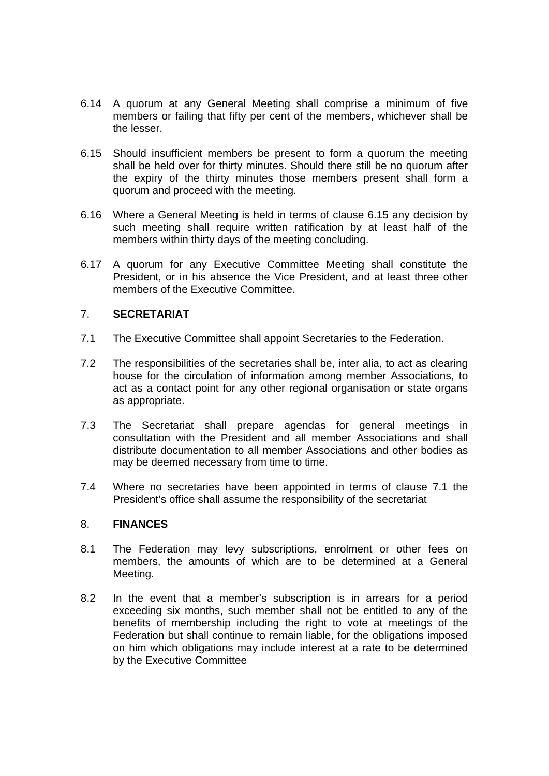- 6.14 A quorum at any General Meeting shall comprise a minimum of five members or failing that fifty per cent of the members, whichever shall be the lesser.
- 6.15 Should insufficient members be present to form a quorum the meeting shall be held over for thirty minutes. Should there still be no quorum after the expiry of the thirty minutes those members present shall form a quorum and proceed with the meeting.
- 6.16 Where a General Meeting is held in terms of clause 6.15 any decision by such meeting shall require written ratification by at least half of the members within thirty days of the meeting concluding.
- 6.17 A quorum for any Executive Committee Meeting shall constitute the President, or in his absence the Vice President, and at least three other members of the Executive Committee.

### 7. **SECRETARIAT**

- 7.1 The Executive Committee shall appoint Secretaries to the Federation.
- 7.2 The responsibilities of the secretaries shall be, inter alia, to act as clearing house for the circulation of information among member Associations, to act as a contact point for any other regional organisation or state organs as appropriate.
- 7.3 The Secretariat shall prepare agendas for general meetings in consultation with the President and all member Associations and shall distribute documentation to all member Associations and other bodies as may be deemed necessary from time to time.
- 7.4 Where no secretaries have been appointed in terms of clause 7.1 the President's office shall assume the responsibility of the secretariat

### 8. **FINANCES**

- 8.1 The Federation may levy subscriptions, enrolment or other fees on members, the amounts of which are to be determined at a General Meeting.
- 8.2 In the event that a member's subscription is in arrears for a period exceeding six months, such member shall not be entitled to any of the benefits of membership including the right to vote at meetings of the Federation but shall continue to remain liable, for the obligations imposed on him which obligations may include interest at a rate to be determined by the Executive Committee